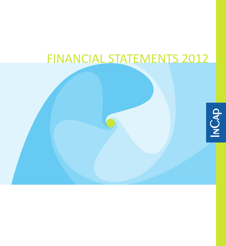# financial statements 2012

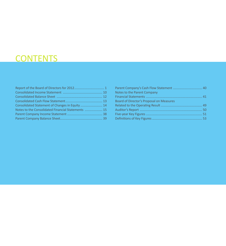# **CONTENTS**

| Notes to the Parent Company              |  |
|------------------------------------------|--|
|                                          |  |
| Board of Director's Proposal on Measures |  |
|                                          |  |
|                                          |  |
|                                          |  |
|                                          |  |
|                                          |  |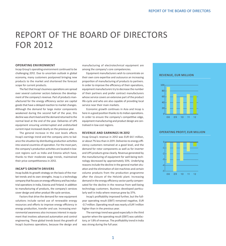# Report of the Board of Directors for 2012

#### **Operating environment**

Incap Group's operating environment continued to be challenging 2012. Due to uncertain outlook in global economy, many customers postponed bringing new products to the market and shortened the forecast scope for current products.

The fact that Incap's business operations are spread over several customer sectors balances the development of the company's revenue. Part of products manufactured for the energy efficiency sector are capital goods that have a delayed reaction to market changes. Although the demand for large motor components weakened during the second half of the year, this decline was short-lived and the demand returned to the normal level at the end of the year. Deliveries of UPS equipment ensuring uninterrupted and undisturbed current input increased clearly on the previous year.

The general increase in the cost levels affects Incap's earnings trend and the company aims to balance the situation by distributing production activities into several countries of operation. For the most part, the company's production activities are located in lowcost regions such as India and Estonia which have, thanks to their moderate wage trends, maintained their price competitiveness in 2012.

#### **Incap's growth drivers**

Incap builds its growth strategy on the basis of the market trends and its own strengths. Incap is a technology company that focuses on energy efficiency and has industrial operations in India, Estonia and Finland. In addition to manufacturing of products, the company's services cover design and other product life-cycle services.

Factors that drive the demand for new equipment solutions include varied use of renewable energy resources and efforts to improve energy efficiency in energy production, transfer and use. Increasing environmental awareness also increases interest in equipment that involves advanced automation and control engineering. These global trends boost the growth of Incap's business operations, because the design and

manufacturing of electrotechnical equipment are among the company's core competencies.

Equipment manufacturers wish to concentrate on their own core expertise and outsource an increasing proportion of manufacturing of products to partners. In order to improve the efficiency of their operations, equipment manufacturers try to decrease the number of their partners and prefer contract manufacturers whose service covers an extensive part of the product life-cycle and who are also capable of providing local service near their main markets.

Economic growth continues in Asia and Incap is here in a good position thanks to its Indian operations. In order to ensure the company's competitive edge, equipment manufacturing and product design are centralised in low-cost regions.

# **Revenue and earnings in 2012**

Incap Group's revenue in 2012 was EUR 64.1 million, or about 7% less than in 2011. Deliveries to energy efficiency customers remained at a good level, and the demand for rotor components as well as for inverter and UPS products grew clearly. Revenue generated by the manufacturing of equipment for well-being technology decreased by approximately 33%. Underlying reasons include the decline in the general market situation and the elimination of slot machines and certain volume products from the production programme after the closure of the Helsinki plant. Increasing demand in the energy efficiency sector partly compensated for the decline in the revenue from well-being technology customers. Business developed particularly well in India where revenue grew by 37%.

Incap's profitability improved further, but the fullyear operating result (EBIT) remained negative, EUR -0.7 million. Operating result was nearly a EUR 1 million higher than in the previous year.

The earnings trend was good especially in the third quarter when the operating result (EBIT) was satisfactory, or 1.8% of revenue. The profitability trend in India was strong during the full year.

#### **Revenue, EUR million**



### **Operating profit, EUR million**

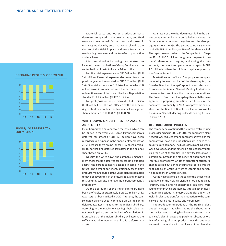



**Profit/loss before tax, EUR million**



Material costs and other production costs decreased compared to the previous year, and fixed costs went down as well. On the other hand, the result was weighed down by costs that were related to the closure of the Helsinki plant and arose from partly overlapping resources and the transfer of production and machines.

Measures aimed at improving the cost structure included the reorganisation of Group Services and the centralisation of tasks to Incap's Tallinn office.

Net financial expenses were EUR 0.8 million (EUR 2.4 million). Financial expenses decreased from the previous year and amounted to EUR 2.2 million (EUR 2.6). Financial income was EUR 1.4 million, of which 1.0 million arose in connection with the decrease in the redemption value of the convertible loan. Depreciation stood at EUR 1.5 million (EUR 2.0 million).

Net profit/loss for the period was EUR -4.9 million (EUR -4.0 million). This was affected by the non-recurring write-down on deferred tax assets. Earnings per share amounted to EUR -0.25 (EUR -0.21).

# **Write-down on deferred tax assets and equity**

Incap Corporation has approved tax losses, which can be utilised in the years 2013–2022. Parent company's deferred tax assets of EUR 3.3 million have been recorded as an expense in the financial statements for 2012, because there are no longer IFRS-based prerequisites for keeping deferred tax assets in the balance sheet based on IAS 12.

Despite the write-down the company's management trusts that the deferred tax assets can be utilised against the parent company's taxable income in the future. The demand for energy efficiency technology products manufactured at the Vaasa plant is estimated to develop favourably in the future, too, and ongoing restructuring will also improve the parent company's profitability.

As the operations of the Indian subsidiary have been profitable, approximately EUR 0.2 million of its tax assets has been utilised in 2012. After this, the consolidated balance sheet contains EUR 0.6 million of deferred tax assets relating to the Indian subsidiary. According to the impairment testing, their value has not been impaired, and on the basis of calculations, it is probable that the Indian subsidiary will accumulate sufficient taxable income to utilise its deferred tax assets.

As a result of the write-down recorded in the parent company's and the Group's balance sheet, the Group's equity becomes negative and the Group's equity ratio is -10.3%. The parent company's equity capital is EUR 8.1 million, or 39% of the share capital. The capital loan according to the Companies Act, Chapter 12 of EUR 0.6 million strengthens the parent company's shareholders' equity, and taking this into account, the parent company's equity capital is EUR 1.6 million less than the minimum capital required by the Companies Act.

Due to the equity of Incap Group's parent company decreasing to less than half of the share capital, the Board of Directors of Incap Corporation has taken steps to convene the Annual General Meeting to decide on measures to consolidate the company's operations. The Board of Directors of Incap together with the management is preparing an action plan to ensure the company's profitability in 2013. To improve the capital structure the Board of Directors will also propose to the Annual General Meeting to decide on a rights issue in spring 2013.

### **Restructuring process**

The company has continued the strategic restructuring process launched in 2006. In 2012 the company's plant network was reduced by one company, after which the company will have one production plant in each of its countries of operation. The Kuressaare plant in Estonia was developed, and the extension project nearly doubled the area of its facilities. The new facilities make it possible to increase the efficiency of operations and improve profitability. Another significant structural change carried out during the financial period was the shift in focus of Group Services to Estonia and personnel reductions in Group Services.

As the negotiations on the sale of the sheet-metal operations of the Helsinki plant did not lead to a satisfactory result and no sustainable solutions were found for improving profitability through other measures, Incap decided in January 2012 to close down the Helsinki plant and transfer the production to the company's other plants in Vaasa and Kuressaare.

The production operations at the Helsinki plant ended in August, at which point the sheet-metal mechanics manufacturing had been transferred partly to Incap's plant in Vaasa and partly to subcontractors. Manufacturing of some products was discontinued entirely in connection with the closure of the plant due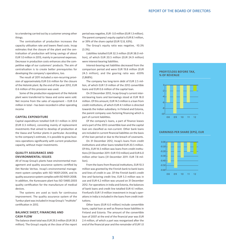to a tendering carried out by a customer among other things.

The centralisation of production increases the capacity utilisation rate and lowers fixed costs. Incap estimates that the closure of the plant and the centralisation of production will bring savings of about EUR 1.0 million in 2013, mainly in personnel expenses. Decrease in production costs enhances also the competitive edge of our customers' products. The aim of centralisation is to create better prerequisites for developing the company's operations, too.

The result of 2011 included a non-recurring provision of approximately EUR 0.6 million for the closure of the Helsinki plant. By the end of the year 2012, EUR 0.6 million of this provision was used.

Some of the production equipment of the Helsinki plant were transferred to Vaasa and some were sold. Net income from the sales of equipment – EUR 0.4 million in total – has been recorded in other operating income

#### **Capital expenditure**

Capital expenditure totalled EUR 0.1 million in 2012 (EUR 0.3 million), consisting mainly of replacement investments that aimed to develop of production at the Vaasa and Tumkur plants in particular. According to the company's estimate, it is possible to grow business operations significantly with current production capacity, without major investments.

# **Quality assurance and environmental issues**

All of Incap Group's plants have environmental management and quality assurance systems certified by Det Norske Veritas. Incap's environmental management system complies with ISO 14001:2004, and its quality assurance system complies with ISO 9001:2008. In addition, the Kuressaare plant has ISO 13485:2003 quality certification for the manufacture of medical devices.

The systems are used as tools for continuous improvement. The quality assurance system of the Tumkur plant was included in Incap Group's "multisite" certification in 2012.

# **Balance sheet, financing and cash flow**

The balance sheet total was EUR 29.3 million (EUR 39.3 million). The Group's equity at the close of the report period was negative, EUR -3.0 million (EUR 1.3 million). The parent company's equity capital is EUR 8.1 million, or 39% of the share capital (EUR 12.8, 63%).

The Group's equity ratio was negative, -10.3% (3.3%).

Liabilities totalled EUR 32.3 million (EUR 38.0 million), of which EUR 20.5 million (EUR 24.9 million) were interest-bearing liabilities.

Interest-bearing net liabilities decreased from the comparison period and were EUR 19.8 million (EUR 24.5 million), and the gearing ratio was -659% (1,868%).

The company has long-term debt of EUR 2.5 million, of which EUR 1.9 million of the 2012 convertible loans and EUR 0.6 million of the capital loan.

On 31 December 2012, Incap Group's current interest-bearing loans and borrowings stood at EUR 18.0 million. Of this amount, EUR 14.5 million is a loan from credit institutions, of which EUR 4.1 million is directed towards the Indian subsidiary. In Finland and Estonia, the parent company uses factoring financing which is part of current liabilities.

Of the company's loans, a part of finance leases and a part of the 2012 convertible loan and the capital loan are classified as non-current. Other bank loans are included in current financial liabilities on the basis of the loan period or due to the breach of covenants.

On 31 December 2012, Incap's loans from credit institutions and other loans totalled EUR 20.5 million. Of this, EUR 14.5 million was loans from credit institutions (31 December 2011: EUR 17.0 million) and EUR 6.0 million other loans (31 December 2011: EUR 7.8 million).

From the loans from financial institutions, EUR 10.3 million was granted by the Finnish bank to bank loans and lines of credit in use. Of the Finnish bank's credit line and factoring credit line, EUR 5.3 million was in use and EUR 4.2 million was unused on 31 December 2012. For operations in India and Estonia, the balances of bank loans and credit line totalled EUR 4.1 million. Finnfund's EUR 1.9 million investment in Incap's operations in India is included in the loans from credit institutions.

Other loans (EUR 6.0 million) include convertible loans, capital loan as well as finance lease liabilities in Finland and Estonia. The amount of the convertible loan of 2007 at the end of the financial year was EUR 2.4 million, of which a part was reorganised after the end of the financial year and the remainder of EUR 1.0

### **Profit/loss before tax, % of revenue**



# **Earnings per share (EPS), EUR**

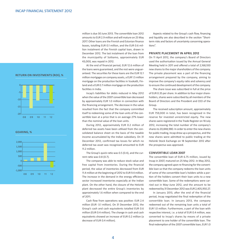



#### **Gearing, %**



million is due 30 June 2013. The convertible loan 2012 amounts to EUR 2.9 million and will mature on 25 May 2017. Other loans are the Finnish and Estonian finance leases, totalling EUR 0.1 million, and the EUR 0.6 million instalment of the Finnish capital loan, drawn in December 2012. The last instalment of the loan from the municipality of Sotkamo, approximately EUR 43,000, was repaid in 2012.

At the end of financial period, EUR 12.6 million of the loans were guaranteed, and the rest were unguaranteed. The securities for these loans are the EUR 12.1 million mortgages on company assets, a EUR 1.5 million mortgage on the production facilities in Vuokatti, Finland and a EUR 0.7 million mortgage on the production facilities in India.

Incap's liabilities for debts reduced in May 2012 when the value of the 2007 convertible loan decreased by approximately EUR 1.0 million in connection with the financing arrangement. The decrease in the value resulted from the fact that the company committed itself to redeeming some of the loan units of the convertible loan at a price that is on average 27% lower than the nominal value of the loan units.

During 2012, approximately EUR 0.2 million of deferred tax assets have been utilised from the consolidated balance sheet on the basis of the taxable income accumulated by the Indian subsidiary. On 31 December 2012, confirmed tax losses for which no deferred tax asset was recognised amounted to EUR 11.2 million.

The Group's quick ratio was 0.5 (0.4), and the current ratio was 0.8 (0.7).

The company was able to reduce stock value and free capital from inventories. During the financial period, the value of inventories decreased from EUR 11.4 million at the beginning of 2012 to EUR 9.4 million. The increase in the demand in the energy efficiency sector increased inventories especially at the Indian plant. On the other hand, the closure of the Helsinki plant decreased the entire Group's inventories by approximately 1.6 million when compared to the end of 2011.

Cash flow from operations was positive: EUR 2.4 million (EUR -3.1 million). On 31 December 2012, the Group's cash and cash equivalents totalled EUR 0.6 million (EUR 0.4 million). The change in cash and cash equivalents showed an increase of EUR 0.2 million (a decrease of EUR 0.4 million).

Aspects related to the Group's cash flow, financing and liquidity are also described in the section "Shortterm risks and factors of uncertainty concerning operations".

#### **Private placement in April 2012**

On 11 April 2012, the company's Board of Directors used the authorisation issued by the Annual General Meeting held in 2011 and offered a total of 2,168,100 new shares to the major shareholders of the company. The private placement was a part of the financing arrangement prepared by the company, aiming to improve the company's equity ratio and solvency and to ensure the continued development of the company.

The share issue was subscribed in full at the price of EUR 0.35 per share. In addition to four major shareholders, shares were subscribed by all members of the Board of Directors and the President and CEO of the Group.

The received subscription amount, approximately EUR 759,000 in total, has been recognised in the reserve for invested unrestricted equity. The new shares were registered in the Trade Register on 18 July 2012, increasing the total number of the company's shares to 20,848,980. In order to enter the new shares for public trading, Incap drew up a prospectus, and the new shares were admitted to public trading at the Helsinki Stock Exchange on 18 September 2012 after the prospectus was approved.

#### **Convertible loan 2007**

The convertible loan of EUR 6.75 million, issued by Incap in 2007, matured on 25 May 2012. In May 2012, the company agreed upon re-financing for the convertible loan so that the company redeems the loan units of some of the convertible loan's holders while a portion of the holders convert their loan units to a new convertible loan. Some of the redemptions were carried out in May–June 2012, and the amount to be redeemed by 31 December 2012 was EUR 2,405,950.27.

In January 2013, after the end of the financial period, Incap negotiated the final redemption of the convertible loan. In January 2013, the company redeemed out of the remaining loan units a total of EUR 1.0 million. Furthermore, a part of the loan with respective interest, i.e. a total of EUR 0.4 million, was converted to Incap's shares by means of a private placement to one holder of the convertible loan. The final redemption of the 2007 convertible loan, EUR 1.0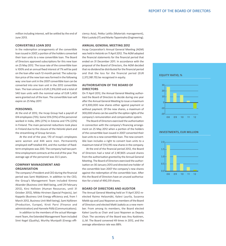million including interest, will be settled by the end of June 2013.

# **Convertible loan 2012**

In the redemption arrangements of the convertible loan issued in 2007, a portion of the holders converted their loan units to a new convertible loan. The Board of Directors approved subscriptions for this new loan on 25 May 2012. The issue rate of the convertible loan is 100% and an annual fixed interest of 7% will be paid on the loan after each 12-month period. The subscription price of the new loan was formed in the following way: one loan unit in the 2007 convertible loan can be converted into one loan unit in the 2012 convertible loan. The loan amount is EUR 2,916,000 and a total of 540 loan units with the nominal value of EUR 5,400 were granted out of the loan. The convertible loan will expire on 25 May 2017.

#### **Personnel**

At the end of 2012, the Incap Group had a payroll of 614 employees (735). Some 55% (51%) of the personnel worked in India, 28% (27%) in Estonia and 17% (22%) in Finland. The main personnel reductions took place in Finland due to the closure of the Helsinki plant and the streamlining of Group Services.

At the end of the year, 170 of Incap's employees were women and 444 were men. Permanently employed staff totalled 414, and the number of fixedterm employees was 200. The company had two parttime employment contracts at the end of the year. The average age of the personnel was 33.5 years.

# **Company management and organisation**

The company's President and CEO during the financial period was Sami Mykkänen. In addition to the CEO, the Group's Management Team included Kimmo Akiander (Business Unit Well-being, until 29 February 2012), Kirsi Hellsten (Human Resources, until 31 October 2012), Mikko Hirvinen (Special Projects), Jari Koppelo (Business Unit Energy efficiency and, from 1 March 2012, Business Unit Well-being), Sami Kyllönen (Production, Europe), Kirsti Parvi (Finance and administration) and Hannele Pöllä (Communications).

In addition to the members of the actual Management Team, the Extended Management Team included Siret Kegel (Quality), Murthy Munipalli (Energy efficiency Asia), Pekka Laitila (Materials management), Päivi Luotola (IT) and Marko Tapaninaho (Engineering).

# **Annual General Meeting 2012**

Incap Corporation's Annual General Meeting (AGM) was held in Helsinki on 11 April 2012. The AGM adopted the financial statements for the financial period that ended on 31 December 2011. In accordance with the proposal of the Board of Directors, the AGM decided that no dividend be distributed for the financial period and that the loss for the financial period (EUR 2,372,981.70) be recognised in equity.

# **Authorisation of the Board of Directors**

On 11 April 2012, the Annual General Meeting authorised the Board of Directors to decide during one year after the Annual General Meeting to issue a maximum of 9,300,000 new shares either against payment or without payment. Of the new shares, a maximum of 300,000 shares can be used for the option rights of the company's remuneration and compensation system.

The Board of Directors exercised the authorisation in connection with the company's financing arrangement on 25 May 2012 when a portion of the holders of the convertible loan issued in 2007 converted their loan units to a new convertible loan. The new convertible loan includes a right to convert loan units to a maximum total of 7,112,195 new shares in the company.

At the end of the financial period 2012, the Board of Directors had a total of 2,187,805 unused shares from the authorisation granted by the Annual General Meeting. The Board of Directors exercised the authorisation on 30 January 2013 and directed one holder of the convertible loan 2007 the company's new shares against the redemption of the convertible loan. After this the Board of Directors have an unused authorisation for a total of 490,519 shares.

#### **Board of Directors and auditor**

The Annual General Meeting held on 11 April 2012 reelected Raimo Helasmäki, Kalevi Laurila, Susanna Miekk-oja and Lassi Noponen as members of the Board of Directors and elected Matti Jaakola as a new member. From among its members, the Board elected Kalevi Laurila as Chair and Lassi Noponen as Deputy Chair. The secretary of the Board was Anu Kaskinen, LL.M. The Board convened 49 times in 2012, and the average attendance rate was 88%.

#### **Equity ratio, %**



### **Investments, EUR million**

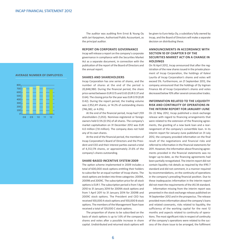

**Average number of employees**

08 09 10 11 12

0 100

The auditor was auditing firm Ernst & Young Oy with Jari Karppinen, Authorised Public Accountant, as the principal auditor.

#### **Report on corporate governance**

Incap will release a report on the company's corporate governance in compliance with the Securities Market Act as a separate document, in connection with the publication of the report of the Board of Directors and the annual report.

# **Shares and shareholders**

Incap Corporation has one series of shares, and the number of shares at the end of the period is 20,848,980. During the financial period, the share price varied between EUR 0.15 and 0.65 (EUR 0.37 and 0.64). The closing price for the year was EUR 0.19 (EUR 0.42). During the report period, the trading volume was 2,952,411 shares, or 14.2% of outstanding shares (746,382, or 4.0%).

At the end of the financial period, Incap had 1,159 shareholders (1,053). Nominee-registered or foreign owners held 0.5% (0.5%) of all shares. The company's market capitalisation on 31 December 2012 was EUR 4.0 million (7.8 million). The company does not hold any of its own shares.

At the end of the financial period, the members of Incap Corporation's Board of Directors and the President and CEO and their interest parties owned a total of 4,512,174 shares, or approximately 21.6% of the company's shares outstanding.

#### **Share-based incentive system 2009**

The option scheme implemented in 2009 includes a total of 600,000 stock options entitling their holders to subscribe for an equal number of Incap shares. The stock options are broken into three categories: 2009A, 2009B and 2009C. The subscription price for all stock options is EUR 1. The subscription period is from 1 April 2010 to 31 January 2014 for 2009A stock options and from 1 April 2011 to 31 January 2014 for 2009B and 2009C stock options. The President and CEO has received 100,000 A stock options and 100,000 B stock options. The members of the Management Team have received a total of 129,000 C stock options.

The proportion of shares to be subscribed on the basis of stock options is up to 1.6% of the company's shares and votes after a possible increase in share capital. Undistributed and returned stock options will be given to Euro-ketiu Ov, a subsidiary fully owned by Incap, and the Board of Directors will make a separate decision on distributing these.

# **Announcements in accordance with Section 10 of Chapter 9 of the Securities Market Act on a change in holdings**

On 16 April 2012, Incap announced that after the registration of the new shares issued in the private placement of Incap Corporation, the holdings of Kalevi Laurila of Incap Corporation's shares and votes will exceed 5%. Furthermore, on 21 September 2012, the company announced that the holdings of Oy Ingman Finance Ab of Incap Corporation's shares and votes decreased below 10% after several consecutive trades.

# **Information related to the liquidity risk and continuity of operations in the interim report for January–June**

On 22 May 2012, Incap published a stock exchange release with regard to financing arrangements that were related to the extension of the financing agreements, the granting of a new bank loan and a rearrangement of the company's convertible loan. In its interim report for January–June published on 31 July 2012, the company provided information on the final result of the negotiations and financial risks and referred to information in the financial statements for 2011. However, the information about financing agreements provided in the financial statements was no longer up-to-date, as the financing agreements had been partially renegotiated. The interim report did not contain liquidity risk details as required by the IFRS 7 standard and did not comment, in a manner required by recommendations, on the continuity of operations in the company's prevailing financial position. Due to these inadequacies information in the interim report did not meet the requirements of the IAS 34 standard.

Information missing from the interim report was presented in the stock exchange release published on 14 September 2012 and in the prospectus. The release provided more information about the company's loans and related covenants, risks related to liquidity, the sufficiency of the working capital for the next 12 months and aspects related to continuity of operations. The most significant risks in respect of continuity of the company's operations were related to the success of the share issue to be arranged, the fulfilment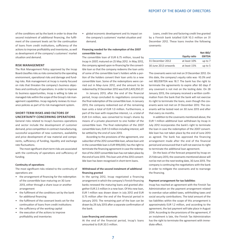of the conditions set by the bank in order to draw the second instalment of additional financing, the fulfilment of the covenant levels set for the continuation of loans from credit institutions, sufficiency of the actions to improve profitability and inventories, as well as development of the company's customers' market situation and demand.

#### **Risk management**

The Risk Management Policy approved by the Incap Board classifies risks as risks connected to the operating environment, operational risks and damage and funding risks. Risk management at Incap is mainly focused on risks that threaten the company's business objectives and continuity of operations. In order to improve its business opportunities, Incap is willing to take on managed risks within the scope of the Group's risk management capabilities. Incap regularly reviews its insurance policies as part of its risk management system.

# **Short-term risks and factors of uncertainty concerning operations**

General risks related to Incap's business operations and sector include the development of customer demand, price competition in contract manufacturing, successful acquisition of new customers, availability and price development of raw material and components, sufficiency of funding, liquidity and exchange rate fluctuations.

The most significant short-term risks are associated with the continuity of operations and sufficiency of funding.

#### **Continuity of operations**

The most significant risks related to the continuity of operations are:

- the arrangement of financing for the redemption of the convertible loan maturing on 30 June 2013, either through a share issue or another arrangement
- the fulfilment of the conditions set by the bank for additional financing
- the fulfilment of the covenant levels set for the continuation of loans from credit institutions
- the sufficiency of the working capital
- the execution of the actions to improve profitability and inventories

• global economic development and its impact on the company's customers' market situation and demand.

# **Financing needed for the redemption of the 2007 convertible loan**

The convertible loan of EUR 6.75 million, issued by Incap in 2007, matured on 25 May 2012. In May 2012, the company agreed upon re-financing for the convertible loan so that the company redeems the loan units of some of the convertible loan's holders while a portion of the holders convert their loan units to a new convertible loan. Some of the redemptions were carried out in May–June 2012, and the amount to be redeemed by 31 December 2012 was EUR 2,405,950.27.

In January 2013, after the end of the financial period, Incap concluded its negotiations concerning the final redemption of the convertible loan. In January 2013, the company redeemed out of the remaining loan units a total of EUR 1.0 million. Furthermore, a part of the loan with respective interest, i.e. a total of EUR 0.4 million, was converted to Incap's shares by means of a private placement to one holder of the convertible loan. The final redemption of the 2007 convertible loan, EUR 1.0 million including interest, will be settled by the end of June 2013.

According to the provisions of the agreement, one subscriber of the 2012 convertible loan, whose loan unit in the convertible loan is EUR 999,000, has the right to terminate the financing agreement in case the redemption of the 2007 convertible loan has not taken place by the end of June 2013. This loan unit of the 2012 convertible loan has been recognised in short-term loans.

# **Withdrawal of the second instalment of additional financing granted**

In the spring 2012, Incap negotiated a financing arrangement in which the company's Finnish financing banks renewed the maturing loans and granted altogether EUR 2.5 million in a new loan. Of this new loan, EUR 1 million was drawn down in July 2012 and EUR 0.75 million after the end of the financial period in January 2013. The remaining part of the loan can be drawn by 29 July 2013 after a separate confirmation of the bank.

#### **Loan financing and covenants**

At the end of the financial period, Incap's loans amounted to EUR 20.5 million.

Loans, credit line and factoring credit line granted by a Finnish bank totalled EUR 10.3 million on 31 December 2012. These loans involve the following covenants:

|                      |              | Net IBD/      |
|----------------------|--------------|---------------|
|                      | Equity ratio | <b>EBITDA</b> |
| 31 December 2012     | at least 10% | up to 7       |
| 30 June 2013 onwards | at least 15% | up to $5$     |

The covenants were not met on 31 December 2012. On this date, the company's equity ratio was -10.3% and net IBD/EBITDA was 18.7. The bank has the right to terminate the agreements to expire after 60 days if any covenant is not met on the testing date. On 28 January 2013, the company received a written confirmation from the bank that the bank will not exercise its right to terminate the loans, even though the covenants were not met on 31 December 2012. The covenants will be tested next on 30 June 2013 and after that every six months.

In addition to the covenants mentioned above, the EUR 1 million additional loan withdrawn by Incap in July 2012 incorporates the bank's right to terminate the loan in case the redemption of the 2007 convertible loan has not taken place by the end of June 2013 as agreed. The bank has approved the financing arrangement made after the end of the financial period and announced that it will not exercise its right to terminate the additional loan agreement.

On the basis of the forecast prepared by Incap on 25 February 2013, the covenants mentioned above will not be met on the next testing date, 30 June 2013. The company is continuing the negotiations with the bank in order to mitigate the covenants and to rearrange the financing.

#### **Payment arrangement for tax liabilities**

Incap has reached an agreement with the Finnish Tax Administration on the payment arrangement related to overdue value-added taxes, withholding taxes and social security contributions. The total amount of the tax liabilities within the scope of this arrangement is approximately EUR 1.2 million, and according to the agreement, the last payment will take place in August 2014. According to the provisions of the agreement, if an instalment is late, the Finnish Tax Administration has the right to terminate the agreement with immediate effect.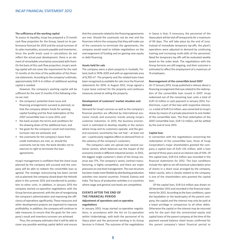#### **The sufficiency of the working capital**

To assess its liquidity, Incap has prepared a 12-month cash flow projection for the Group, based on its performance forecast for 2013 and the actual turnover of its sales receivables, accounts payable and inventories. Since the profit levels used in calculations do not reflect the actual past development, there is an element of remarkable uncertainty associated with them. On the basis of this cash flow projection, Incap's working capital will not cover the requirement for the next 12 months at the time of the publication of this financial statements. According to the company's estimate, approximately EUR 4–6 million of additional working capital is needed.

However, the company's working capital will be sufficient for the next 12 months if the following criteria are met:

- the company's potential share issue and financing arrangements succeed as planned, so that the company obtains funds for working capital funding and the final redemption of the 2007 convertible loan in June 2013; and
- the bank accepts the terms and conditions for the drawing down of the additional loan; and
- the goals for the company's result and inventory turnover rate are achieved; and
- the covenants for the company's loans from credit institutions are met, or, should the covenants not be met, the bank decides not to exercise its right to terminate the loan agreements.

Incap's management is confident that the share issue planned by the company will succeed and the company will be able to redeem the convertible loan as agreed. The strategic restructuring has been carried out as planned; the company closed down the Helsinki plant in the summer 2012 and transferred its production to other units. In addition, in January 2013 the company started co-operative negotiations with the Group Services personnel, with the aim of reorganising the company's administration and improving the efficiency of operations significantly. These measures and other development projects are expected to improve profitability. In addition, the company will continue to take measures to ensure that the goals for the company's result and inventory turnover are achieved.

Thus, the company estimates that it will be able to cover any possible working capital deficit and ensure

that the covenants related to the financing agreements are met. Should the covenants not be met and the financiers inform the company that they will make use of the covenants to terminate the agreements, the company would need to initiate negotiations on the rearrangement of funding and on gaining new equity or debt financing.

#### **Assets held for sale**

The company owns a plant property in Vuokatti, Finland, built in 1978–2001 and with an approximate area of 8,700 m². The property and the related loans have been recognised as available for sale since the financial statements for 2010. In August 2012, Incap signed a 5-year lease contract for the property and continues measures aimed at selling the property.

# **Development of customers' market situation and demand**

Demand for Incap's services as well as the company's financial position are affected by international economic trends and economic trends among Incap's customer industries. In 2013, the business environment is estimated to develop steadily in the sectors where Incap and its customers operate, and the general economic uncertainty has not had – at least not yet – a particularly negative effect on demand from or the solvency of the company's customers.

The company's sales are spread over several customer sectors, which balances out the impact of the economic trends in different industrial sectors. In 2012, the biggest single customer's share of the Group revenue was 17%. The company's sector, contract manufacturing, is highly competitive, and there are major pressures on cost level management. The cost structure has been made more flexible by distributing production activities into several countries: Finland, Estonia and India. The focus of production activities is in countries where wage and general cost levels are competitive.

# **Events after the end of the financial period Adjustment of operations and co-operative negotiations**

In January 2013, Incap started co-operative negotiations, in accordance with the Act on Co-operation within Undertakings, with both the personnel of its Vaasa plant and the personnel working in its Group Services in Finland. The outcome of the negotiations

in Vaasa is that, if necessary, the personnel of the Vaasa plant will be laid off temporarily for a maximum of 90 days. This will take place by the end of June. Instead of immediate temporary lay-offs, the plant's operations were adjusted to demand by continuing training and increasing multi-skills of the personnel. Need for temporary lay-offs will be evaluated weekly based on the order book. The negotiations with the Group Services are still ongoing, and their outcome is estimated to affect the employment of a maximum of 14 employees.

#### **Rearrangement of the convertible bond 2007**

On 17 January 2013, Incap published a release about a financing arrangement that was related to the redemption of the convertible loan issued in 2007. Incap redeemed out of the remaining loan units a total of EUR 1.0 million in cash payment in January 2013. Furthermore, a part of the loan with respective interest, i.e. a total of EUR 0.4 million, was converted to Incap's shares by means of a private placement to one holder of the convertible loan. The final redemption of the 2007 convertible loan, EUR 1.0 million, will be settled by the end of June 2013.

#### **Capital loan**

In connection with the negotiations concerning the redemption of the convertible loan, three of Incap Corporation's major shareholders granted the company a capital loan of EUR 1.05 million, with a loan period of three years and at an interest rate of 10%. Of this capital loan, EUR 0.6 million was recorded in the financial statements for 2012. The loan conditions include the right to set off eventual subscription price of shares in a share issue arranged by the company. Kalevi Laurila, who is closely related to the company, is one of the shareholders who granted the capital loan.

Of the capital loan, EUR 0.6 million was drawn on 28 December 2012 and recorded in the financial statements for 2012. According to the loan conditions, upon the liquidation or the bankruptcy of the parent company, the capital and the interest may only be paid at a lower privilege in comparison to all other debts. Otherwise the capital or the interest may be returned only for the part that the unrestricted equity and capital loans of the parent company at the time of the payment exceed balance sheet losses confirmed for the parent company's latest financial period or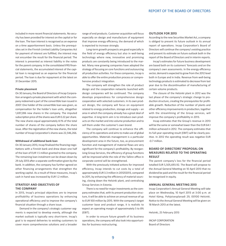included in more recent financial statements. No security has been provided for interest on the capital or for the loan. The loan interest is recognised as an expense on a time apportionment basis. Unless the prerequisites set in the Finnish Limited Liability Companies Act for payment of interest are fulfilled, the interest may not encumber the result for the financial period. The interest is presented as interest liability in the notes for the parent company. In the consolidated IFRS financial statements, the accumulated interest of the capital loan is recognised as an expense for the financial period. The loan is due for repayment at the latest on 31 December 2015.

#### **Private placement**

On 30 January, the Board of Directors of Incap Corporation arranged a private placement with which the company redeemed a part of the convertible loan issued in 2007. One holder of the convertible loan was given, as compensation for the holder's loan units, altogether 1,697,286 new shares in the company. The imputed subscription price of the shares was EUR 0.22 per share. The new shares equal approximately 8.1% of the total number of shares of the company before the share issue. After the registration of the new shares, the total number of Incap Corporation's shares was 22,546,266.

#### **Withdrawal of additional bank loan**

On 30 January 2013, Incap finalised the financing negotiations with a Finnish bank and drew down one half of the loan of EUR 1.5 million granted to the company. The remaining loan instalment can be drawn down by 29 July 2013 after a separate confirmation given by the bank. In addition, the company has further agreed on other financing arrangements that strengthen the working capital. As a result of these measures, Incap's cash in hand was increased by EUR 1.2 million.

# **Strategy and objectives of the company**

In 2013, Incap's principal objectives are to improve profitability of business operations by enhancing operational efficiency and to improve the company's financial situation through a share issue.

Demand in the company's strategic customer segments is expected to develop evenly, although the market outlook is typically very short-term. Incap's goal is to expand deliveries to existing customers to cover more comprehensive solutions and a broader

range of end products. Customer acquisition will focus especially on design and manufacture of equipment that improve energy efficiency, the demand of which is expected to increase strongly.

Long-term growth prospects are good especially in the field of energy efficiency but also in well-being technology where new, innovative and promising products are constantly being introduced to the market. Many new growing companies have adopted the strategy of focusing on core functions and outsourcing all production activities. For these companies, Incap is able to offer the entire production process or comprehensive product integration.

The company will strengthen the role of product design and the cooperation networks launched with design companies will be continued. The company develops preparedness for comprehensive design cooperation with selected customers. In its own product design, the company will focus on equipment related to energy production, storage and supply – an area in which the company already has a great deal of expertise. A long-term aim is to introduce own products on the market and into volume production and to sell them under the customer's own brand.

The company will continue to enhance the efficiency of its operations and aims to make use of global opportunities. Materials management is a particular development area in the future, too, as procurement function and management of material flows are very significant for the company's profitability. By reorganising Group Services, the efficiency of group functions will be improved while the role of the Tallinn office in corporate control will be strengthened.

With the previously initiated actions for improved efficiency, Incap intends to cut costs by a total of approximately EUR 3.3 million in 2012‒2013, compared to 2011, by enhancing the efficiency of material sourcing, closing down the Helsinki plant, and centralising Group Services in Estonia.

There is no need for major investments as the company estimates that, with its present production structure, it will be able to achieve an annual revenue of up to EUR 100 million by 2015. With the company's target customer base and product range, it is realistic to expect an operating margin of approximately 5 to 8% (EBIT).

In order to ensure future growth of its business operations, the company will also look into opportunities for business restructuring.

#### **Outlook for 2013**

According to the new Securities Market Act, a company is obliged to present its future outlook in its annual report of operations. Incap Corporation's Board of Directors will continue the company's existing practice and present its estimate on future outlook both in the report of the Board of Directors and in interim reports.

Incap's estimates for future business development are based both on its customers' forecasts and on the company's own assessments. In the energy efficiency sector, demand is expected to grow from the 2012 level both in Europe and in India. Revenue from well-being technology products is estimated to decrease from last year due to the discontinuation of manufacturing of certain volume products.

The closure of the Helsinki plant in 2012 was the last phase of the company's strategic change to production structure, creating the prerequisites for profitable growth. Reduction of the number of plants and other efficiency improvements in production, together with the streamlining of the Group services, will improve the company's profitability in 2013.

Incap estimates that the Group's revenue in 2013 will be the same or somewhat lower than the EUR 64.1 million achieved in 2012. The company estimates that its full-year operating result (EBIT) will be clearly positive. In 2012 the operating result was negative EUR -0.7 million.

# **Board of Directors' proposal on measures related to the operating result**

The parent company's loss for the financial period totalled EUR 5,505,693.92. The Board will propose to the Annual General Meeting on 10 April 2013 that no dividend be paid and the result for the financial period be recognised in equity.

# **Annual General Meeting 2013**

Incap Corporation's Annual General Meeting will take place on Wednesday, 10 April 2013 at 3:00 p.m. at Hotel Kämp, Pohjoisesplanadi 29, 00100 Helsinki. Notice to the Annual General Meeting will be given on 18 March 2013 at the latest.

Helsinki, 25 February 2013

INCAP CORPORATION Board of Directors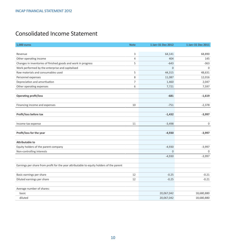# Consolidated Income Statement

| 1,000 euros                                                                              | <b>Note</b>    | 1 Jan-31 Dec 2012 | 1 Jan-31 Dec 2011 |
|------------------------------------------------------------------------------------------|----------------|-------------------|-------------------|
|                                                                                          |                |                   |                   |
| Revenue                                                                                  | 3              | 64,141            | 68,890            |
| Other operating income                                                                   | 4              | 404               | 145               |
| Changes in inventories of finished goods and work in progress                            | 5              | $-643$            | $-363$            |
| Work performed by the enterprise and capitalised                                         |                | $\overline{0}$    | $\mathbf{0}$      |
| Raw materials and consumables used                                                       | 5              | 44,315            | 48,631            |
| Personnel expenses                                                                       | 8              | 11,087            | 12,016            |
| Depreciation and amortisation                                                            | $\overline{7}$ | 1,460             | 2,047             |
| Other operating expenses                                                                 | 6              | 7,721             | 7,597             |
| <b>Operating profit/loss</b>                                                             |                | $-681$            | $-1,619$          |
| Financing income and expenses                                                            | 10             | $-751$            | $-2,378$          |
| Profit/loss before tax                                                                   |                | $-1,432$          | $-3,997$          |
| Income tax expense                                                                       | 11             | $-3,498$          | $\mathbf{0}$      |
| Profit/loss for the year                                                                 |                | $-4,930$          | $-3,997$          |
| <b>Attributable to</b>                                                                   |                |                   |                   |
| Equity holders of the parent company                                                     |                | $-4,930$          | $-3,997$          |
| Non-controlling interests                                                                |                | $\mathbf 0$       | 0                 |
|                                                                                          |                | $-4,930$          | $-3,997$          |
| Earnings per share from profit for the year attributable to equity holders of the parent |                |                   |                   |
| Basic earnings per share                                                                 | 12             | $-0.25$           | $-0.21$           |
| Diluted earnings per share                                                               | 12             | $-0.25$           | $-0.21$           |
| Average number of shares:                                                                |                |                   |                   |
| basic                                                                                    |                | 20,067,042        | 18,680,880        |
| diluted                                                                                  |                | 20,067,042        | 18,680,880        |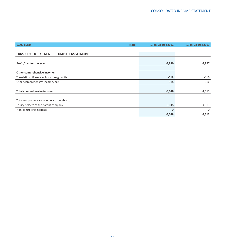| 1,000 euros                                           | <b>Note</b> | 1 Jan-31 Dec 2012 | 1 Jan-31 Dec 2011 |
|-------------------------------------------------------|-------------|-------------------|-------------------|
|                                                       |             |                   |                   |
| <b>CONSOLIDATED STATEMENT OF COMPREHENSIVE INCOME</b> |             |                   |                   |
|                                                       |             |                   |                   |
| Profit/loss for the year                              |             | $-4,930$          | $-3,997$          |
|                                                       |             |                   |                   |
| Other comprehensive income:                           |             |                   |                   |
| Translation differences from foreign units            |             | $-118$            | $-316$            |
| Other comprehensive income, net                       |             | $-118$            | $-316$            |
|                                                       |             |                   |                   |
| Total comprehensive income                            |             | $-5,048$          | $-4,313$          |
|                                                       |             |                   |                   |
| Total comprehensive income attributable to:           |             |                   |                   |
| Equity holders of the parent company                  |             | $-5,048$          | $-4,313$          |
| Non-controlling interests                             |             | $\mathbf{0}$      | $\Omega$          |
|                                                       |             | $-5,048$          | $-4,313$          |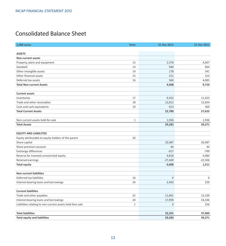# Consolidated Balance Sheet

| 1,000 euros                                               | <b>Note</b>  | 31 Dec 2012  | 31 Dec 2011  |
|-----------------------------------------------------------|--------------|--------------|--------------|
|                                                           |              |              |              |
| <b>ASSETS</b>                                             |              |              |              |
| <b>Non-current assets</b>                                 |              |              |              |
| Property, plant and equipment                             | 13           | 2,578        | 4,007        |
| Goodwill                                                  | 14           | 940          | 964          |
| Other intangible assets                                   | 14           | 178          | 341          |
| Other financial assets                                    | 15           | 311          | 314          |
| Deferred tax assets                                       | 16           | 560          | 4,085        |
| <b>Total Non-current Assets</b>                           |              | 4,568        | 9,710        |
| <b>Current assets</b>                                     |              |              |              |
| Inventories                                               | 17           | 9,352        | 11,423       |
| Trade and other receivables                               | 18           | 12,815       | 15,834       |
| Cash and cash equivalents                                 | 19           | 613          | 369          |
| <b>Total Current Assets</b>                               |              |              |              |
|                                                           |              | 22,780       | 27,625       |
| Non-current assets held-for-sale                          | $\mathbf{1}$ | 1,936        | 1,936        |
| <b>Total Assets</b>                                       |              | 29,283       | 39,271       |
|                                                           |              |              |              |
| <b>EQUITY AND LIABILITIES</b>                             |              |              |              |
| Equity attributable to equity holders of the parent       | 20           |              |              |
| Share capital                                             |              | 20,487       | 20,487       |
| Share premium account                                     |              | 44           | 44           |
| Exchange differences                                      |              | $-917$       | $-799$       |
| Reserve for invested unrestricted equity                  |              | 4,818        | 4,084        |
| Retained earnings                                         |              | $-27,440$    | $-22,506$    |
| <b>Total equity</b>                                       |              | $-3,008$     | 1,311        |
|                                                           |              |              |              |
| <b>Non-current liabilities</b>                            |              |              |              |
| Deferred tax liabilities                                  | 16           | $\mathbf{0}$ | $\mathbf{0}$ |
| Interest-bearing loans and borrowings                     | 24           | 2,492        | 259          |
|                                                           |              |              |              |
| <b>Current liabilities</b>                                |              |              |              |
| Trade and other payables                                  | 25           | 11,841       | 13,109       |
| Interest-bearing loans and borrowings                     | 24           | 17,959       | 24,336       |
| Liabilities relating to non-current assets held-fore-sale | $\mathbf{1}$ | $\mathbf 0$  | 256          |
|                                                           |              |              |              |
| <b>Total liabilities</b>                                  |              | 32,291       | 37,960       |
| <b>Total equity and liabilities</b>                       |              | 29,283       | 39,271       |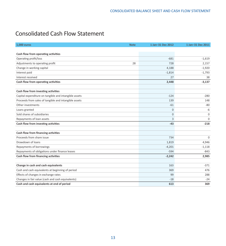# Consolidated Cash Flow Statement

| 1,000 euros<br><b>Note</b>                            | 1 Jan-31 Dec 2012 | 1 Jan-31 Dec 2011 |
|-------------------------------------------------------|-------------------|-------------------|
|                                                       |                   |                   |
| Cash flow from operating activities                   |                   |                   |
| Operating profit/loss                                 | $-681$            | $-1,619$          |
| Adjustments to operating profit<br>28                 | 728               | 2,157             |
| Change in working capital                             | 4,188             | $-1,920$          |
| Interest paid                                         | $-1,814$          | $-1,793$          |
| Interest received                                     | 27                | 38                |
| Cash flow from operating activities                   | 2,448             | $-3,137$          |
| Cash flow from investing activities                   |                   |                   |
| Capital expenditure on tangible and intangible assets | $-124$            | $-280$            |
| Proceeds from sales of tangible and intangible assets | 139               | 148               |
| Other investments                                     | $-61$             | $-80$             |
| Loans granted                                         | $\mathbf 0$       | $-6$              |
| Sold shares of subsidiaries                           | $\mathbf{0}$      | $\mathbf{0}$      |
| Repayments of loan assets                             | $\overline{3}$    | $\mathbf{0}$      |
| Cash flow from investing activities                   | $-43$             | $-218$            |
|                                                       |                   |                   |
| Cash flow from financing activities                   |                   |                   |
| Proceeds from share issue                             | 734               | $\mathbf 0$       |
| Drawdown of loans                                     | 1,819             | 4,946             |
| Repayments of borrowings                              | $-4,201$          | $-1,118$          |
| Repayments of obligations under finance leases        | $-594$            | $-843$            |
| Cash flow from financing activities                   | $-2,242$          | 2,985             |
|                                                       |                   |                   |
| Change in cash and cash equivalents                   | 163               | $-371$            |
| Cash and cash equivalents at beginning of period      | 369               | 476               |
| Effects of changes in exchange rates                  | 99                | 288               |
| Changes in fair value (cash and cash equivalents)     | $-18$             | $-24$             |
| Cash and cash equivalents at end of period            | 613               | 369               |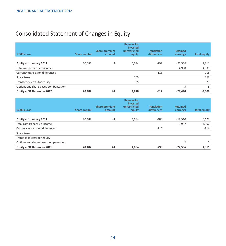# Consolidated Statement of Changes in Equity

| 1.000 euros                          | <b>Share capital</b> | <b>Share premium</b><br>account | <b>Reserve for</b><br>invested<br>unrestricted<br>equity | <b>Translation</b><br>differences | <b>Retained</b><br>earnings | <b>Total equity</b> |
|--------------------------------------|----------------------|---------------------------------|----------------------------------------------------------|-----------------------------------|-----------------------------|---------------------|
|                                      |                      |                                 |                                                          |                                   |                             |                     |
| Equity at 1 January 2012             | 20,487               | 44                              | 4,084                                                    | $-799$                            | $-22,506$                   | 1,311               |
| Total comprehensive income           |                      |                                 |                                                          |                                   | $-4,930$                    | $-4,930$            |
| Currency translation differences     |                      |                                 |                                                          | $-118$                            |                             | $-118$              |
| Share issue                          |                      |                                 | 759                                                      |                                   |                             | 759                 |
| Transaction costs for equity         |                      |                                 | $-25$                                                    |                                   |                             | $-25$               |
| Options and share-based compensation |                      |                                 |                                                          |                                   | $-5$                        | $-5$                |
| Equity at 31 December 2012           | 20,487               | 44                              | 4.818                                                    | $-917$                            | $-27.440$                   | $-3,008$            |

| 1,000 euros                          | <b>Share capital</b> | Share premium<br>account | <b>Reserve for</b><br>invested<br>unrestricted<br>equity | <b>Translation</b><br>differences | <b>Retained</b><br>earnings | <b>Total equity</b> |
|--------------------------------------|----------------------|--------------------------|----------------------------------------------------------|-----------------------------------|-----------------------------|---------------------|
|                                      |                      |                          |                                                          |                                   |                             |                     |
| Equity at 1 January 2011             | 20,487               | 44                       | 4,084                                                    | $-483$                            | $-18,510$                   | 5,622               |
| Total comprehensive income           |                      |                          |                                                          |                                   | $-3,997$                    | $-3,997$            |
| Currency translation differences     |                      |                          |                                                          | $-316$                            |                             | $-316$              |
| Share issue                          |                      |                          |                                                          |                                   |                             |                     |
| Transaction costs for equity         |                      |                          |                                                          |                                   |                             |                     |
| Options and share-based compensation |                      |                          |                                                          |                                   | $\mathfrak{D}$              |                     |
| Equity at 31 December 2011           | 20,487               | 44                       | 4,084                                                    | -799                              | $-22,506$                   | 1,311               |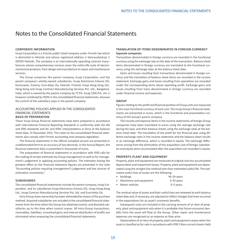# Notes to the Consolidated Financial Statements

#### **Corporate information**

Incap Corporation is a Finnish public listed company under Finnish law which is domiciled in Helsinki and whose registered address is Valuraudankuja 7, 00700 Helsinki. The company is an internationally operating contract manufacturer whose comprehensive services cover the entire life-cycle of electromechanical products, from design and manufacture to repair and maintenance services.

The Group comprises the parent company, Incap Corporation, and the parent company's wholly-owned subsidiaries: Incap Electronics Estonia OÜ, Kuressaare, Estonia; Euro-ketju Oy, Helsinki, Finland; Incap Hong Kong Ltd., Hong Kong and Incap Contract Manufacturing Services Pvt. Ltd., Bangalore, India, which is owned by the parent company by 77.5%. Incap CMS Pvt. Ltd. is however combined by 100% in the consolidated financial statements, because the control of the subsidiary stays in the parent company.

# Accounting policies applied in the consolidated financial statements

# **Basis of preparation**

These Incap Group financial statements have been prepared in accordance with International Financial Reporting Standards in conformity with the IAS and IFRS standards and SIC and IFRIC interpretations in force at the balance sheet date, 31 December 2012. The notes to the consolidated financial statements also comply with Finnish accounting and company legislation.

The financial statements in the official compiled version are presented in unabbreviated form to an accuracy of two decimals. In the Annual Report, the financial statement data is presented in thousands of euros.

The preparation of financial statements in accordance with IFRS calls for the making of certain estimates by Group management as well as for management's judgement in applying accounting policies. The estimates having the greatest effect on the financial statement figures are presented in the note "Accounting policies requiring management's judgement and key sources of estimation uncertainty."

#### **Subsidiaries**

The consolidated financial statements include the parent company, Incap Corporation, and its subsidiaries Incap Electronics Estonia OÜ, Incap Hong Kong Ltd., Incap Contract Manufacturing Services Pvt. Ltd. and Euro-ketju Oy.

Intra-Group share ownership has been eliminated by means of the purchase method. Acquired subsidiaries are included in the consolidated financial statements from the time when the Group has obtained control, and divested subsidiaries up to the time when control ceases. All intra-Group transactions, receivables, liabilities, unrealised gains and internal distribution of profits are eliminated when preparing the consolidated financial statements.

# **Translation of items denominated in foreign currency Separate companies**

Transactions denominated in foreign currency are recorded in the functional currency using the exchange rate on the date of the transaction. Balance sheet items denominated in foreign currency are translated to the functional currency using the exchange rates at the balance sheet date.

Gains and losses resulting from transactions denominated in foreign currency and the translation of balance sheet items are recorded in the income statement. Exchange gains and losses resulting from operations are recorded under the corresponding items above operating profit. Exchange gains and losses resulting from loans denominated in foreign currency are recorded under financial income and expenses.

# **Group**

Figures relating to the profit and financial position of Group units are measured in the main functional currency of each unit. The Incap Group's financial statements are presented in euros, which is the functional and presentation currency of the Group's parent company.

The income and expense items in the income statements of foreign Group companies have been translated to euros using the average exchange rate during the year, and their balance sheets using the exchange rates at the balance sheet date. The translation of the profit for the financial year using different exchange rates in the income statement and the balance sheet results in an exchange difference, which is recorded in equity. The exchange differences arising from the elimination of the acquisition cost of foreign subsidiaries and equity items accumulated after the acquisition are recorded in equity.

### **Property, plant and equipment**

Property, plant and equipment are measured at original cost less accumulated depreciation and impairment losses. Property, plant and equipment are depreciated using the straight-line method over their estimated useful life. The estimated useful lives of assets are the following:

| • Buildings               | $18 - 24$ years |
|---------------------------|-----------------|
| • Machinery and equipment | 3-10 years      |
| • Motor vehicles          | 3-5 years.      |

The residual value of assets and their useful lives are reviewed at each balance sheet date and, if necessary, are adjusted to reflect changes that have occurred in the expectations for an asset's economic benefits.

Subsequent costs are included in the carrying amount of an item of property, plant and equipment only when it is probable that future economic benefits from the asset will flow to the Group. Other repair and maintenance expenses are recognised as an expense as they arise.

Depreciation of an item of property, plant and equipment ceases when the asset is classified as for sale in accordance with IFRS 5 Non-current Assets Held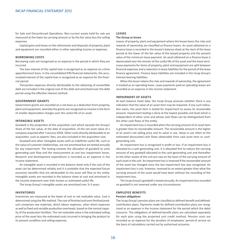for Sale and Discontinued Operations. Non-current assets held for sale are measured at the lower by carrying amount or by the fair value less the selling expenses.

Capital gains and losses on the retirements and disposals of property, plant and equipment are recorded either in other operating income or expenses.

### **Borrowing costs**

Borrowing costs are recognised as an expense in the period in which they are incurred.

The loan interest of the capital loan is recognised as an expense on a time apportionment basis. In the consolidated IFRS financial statements, the accumulated interest of the capital loan is recognised as an expense for the financial period.

Transaction expenses directly attributable to the obtaining of convertible debt are included in the original cost of the debt and amortised over the debt period using the effective interest method.

# **Government grants**

Government grants are recorded on a net basis as a deduction from property, plant and equipment, whereby the grants are recognised as income in the form of smaller depreciation charges over the useful life of an asset.

#### **Intangible assets**

Goodwill is the proportion of the acquisition cost which exceeds the Group's share of the fair value, at the date of acquisition, of the net asset value of a company acquired after 1 January 2004. Other costs directly attributable to an acquisition, such as experts' fees, are also included in the acquisition cost.

Goodwill and other intangible assets with an indefinite useful life, such as the value of customer relationships, are not amortised but are tested annually for any impairment. The testing involves the allocation of goodwill to units generating cash flow and the measurement at cost less impairment losses. Research and development expenditure is recorded as an expense in the income statement.

An intangible asset is recorded in the balance sheet only if the cost of the asset can be determined reliably and it is probable that the expected future economic benefits that are attributable to the asset will flow to the entity. Intangible assets are recorded in the balance sheet at cost and amortised in the income statement over their known or estimated useful life.

The Incap Group's intangible assets are amortised over 3–5 years.

### **Inventories**

Inventories are measured at the lower of cost or net realisable value. Cost is determined using the fifo method. The cost of finished and semi-finished products comprises raw materials, direct labour expenses, other direct expenses as well as fixed and variable production overheads, based on the normal capacity of the production facilities. The net realisable value is the estimated selling price of the asset less the estimated costs incurred in bringing the product to its present condition and selling expenses.

### **Leases**

#### **The Group as lessee**

Leases of property, plant and equipment where the lessee bears the risks and rewards of ownership are classified as finance leases. An asset obtained on a finance lease is recorded in the lessee's balance sheet at the start of the lease period at the lower of the fair value of the leased property and the present value of the minimum lease payment. An asset obtained on a finance lease is depreciated over the shorter of the useful life of the asset and the lease term. Lease payments for items of property, plant and equipment are split between financial expenses and a reduction in lease liabilities for the period of the lease finance agreement. Finance lease liabilities are included in the Incap Group's interest-bearing liabilities.

When the lessor retains the risks and rewards of ownership, the agreement is treated as an operating lease. Lease payments paid on operating leases are recorded as an expense in the income statement.

# **Impairment of assets**

At each balance sheet date, the Incap Group assesses whether there is any indication that the value of an asset item may be impaired. If any such indication exists, the asset item is tested for impairment to assess its recoverable amount. Impairment testing is done at the lowest possible unit level which is independent of other units and whose cash flows can be distinguished from the other cash flows of the entity.

An impairment loss is recorded when the carrying amount of an asset item is greater than its recoverable amount. The recoverable amount is the higher of an asset's net selling price and its value in use. Value in use refers to the estimated discounted cash flows obtainable from said asset item or cashgenerating unit.

An impairment loss is recognised in profit or loss. If an impairment loss is allocated to a cash-generating unit, it is allocated first to reduce the carrying amount of any goodwill allocated to the cash-generating unit and thereafter to the other assets of the unit pro rata on the basis of the carrying amount of each asset in the unit. An impairment loss is reversed if the recoverable amount of the asset has changed since the last impairment loss was recognised. An impairment loss is not, however, reversed to an extent greater than what the carrying amount of the asset would have been without the recording of the impairment loss.

The Incap Group's goodwill is tested annually. An impairment loss recorded on goodwill is not reversed under any circumstances.

### **Employee benefits**

#### **Pension obligations**

The Incap Group's pension plans are classified as defined-benefit and definedcontribution plans. Payments made for defined contribution plans are recognised as an expense in the income statement for the period which the debit concerns. The obligations of defined-benefit plans are calculated separately for each plan using the projected unit credit method. Pension costs are recorded as an expense for the duration of employees' period of service on the basis of calculations carried out by authorised actuaries.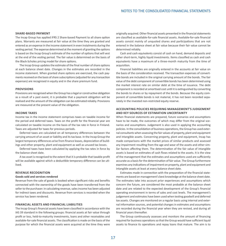### **Share-based payment**

The Incap Group has applied IFRS 2 Share-based Payment to all share option plans. Warrants are measured at fair value at the time they are granted and entered as an expense in the income statement in even instalments during the vesting period. The expense determined at the moment of granting the options is based on the Incap Group's estimate of the number of options that will vest at the end of the vesting period. The fair value is determined on the basis of the Black-Scholes pricing model for share options.

The Incap Group updates the estimate of the final number of share options at each balance sheet date. Changes in the estimates are recorded in the income statement. When granted share options are exercised, the cash payments received on the basis of share subscriptions (adjusted for any transaction expenses) are recognised in equity and in the share premium fund.

#### **Provisions**

Provisions are recognised when the Group has a legal or constructive obligation as a result of a past event, it is probable that a payment obligation will be realised and the amount of the obligation can be estimated reliably. Provisions are measured at the present value of the obligation.

#### **Income taxes**

Income tax in the income statement comprises taxes on taxable income for the period and deferred taxes. Taxes on the profit for the financial year are calculated on taxable income on the basis of the tax rate in force in Finland. Taxes are adjusted for taxes for previous periods.

Deferred taxes are calculated on all temporary differences between the carrying amount of an asset or liability and its tax base. In the Incap Group the largest temporary differences arise from finance leases, depreciation of buildings and other property, plant and equipment as well as unused tax losses.

Deferred taxes have been calculated by applying the tax rates in force by the balance sheet date.

A tax asset is recognised to the extent that it is probable that taxable profit will be available against which a deductible temporary difference can be utilised.

# **Revenue recognition**

### **Goods sold and services rendered**

Revenue from the sale of goods is booked when significant risks and benefits connected with the ownership of the goods have been transferred from the seller to the purchaser. In calculating revenue, sales income has been adjusted for indirect taxes and discounts. Revenue from services is recorded when the service has been rendered.

# **Financial assets and financial liabilities**

The Incap Group's financial assets have been classified in accordance with the IAS 39 standard in the following groups: financial assets at fair value through profit or loss, held-to-maturity investments, loans and other receivables and available-for-sale financial assets. The classification is made on the basis of the purpose for which the financial assets were acquired at the time they were

originally acquired. Other financial assets presented in the financial statements are classified as available-for-sale financial assets. Available-for-sale financial assets consist mainly of unquoted shares and participations that are not entered in the balance sheet at fair value because their fair value cannot be determined reliably.

Cash and cash equivalents consist of cash on hand, demand deposits and other short-term, highly liquid investments. Items classified as cash and cash equivalents have a maximum of a three-month maturity from the time of acquisition.

Financial liabilities are originally entered in the accounts at fair value on the basis of the consideration received. The transaction expenses of convertible bonds are included in the original carrying amount of the bonds. The fair value of the debt component of convertible bonds has been determined using the market interest rate on similar debt at the time of issuance. The debt component is recorded at amortised cost until it is extinguished by converting the bonds to shares or by repayment of the bonds. Because the equity component of convertible bonds is not material, it has not been recorded separately in the invested non-restricted equity reserve.

# **Accounting policies requiring management's judgement and key sources of estimation uncertainty**

When financial statements are prepared, future scenarios and assumptions have to be made, the outcomes of which may differ from the original scenarios and assumptions. Judgement is also used in applying the accounting policies. In the consolidation of business operations, the Group has used external consultants when assessing the fair values of property, plant and equipment and intangible assets. Concerning property, plant and equipment, Incap has made comparisons with the market prices of similar products and assessed any impairment resulting from the age and wear of the assets and other similar factors affecting them. The determination of the fair value of intangible assets is based on estimates of cash flows related to the assets. It is the view of the management that the estimates and assumptions used are sufficiently accurate as a basis for the determination of fair value. The Group furthermore examines any indications of impairment on property, plant and equipment and intangible assets at least at every balance sheet date.

Estimates made in connection with the preparation of the financial statements are based on management's best knowledge at the balance sheet date. The estimates take into account prior experiences and assumptions which concern the future, are considered the most probable at the balance sheet date and are related to the expected development of the Group's financial operating environment in terms of sales and cost levels. The management's judgement and estimates have been used when testing goodwill and deferred tax assets. Changes are monitored on a regular basis using internal and external information sources, and potential changes in estimates and assumptions are recorded during the financial year when they are revised, and during all financial years thereafter.

The Group continuously assesses and monitors the amount of financing required for business operations so that the Group would have sufficient liquid assets to finance its operations and repay loans that mature. The aim is to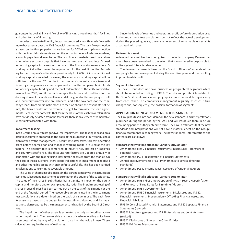guarantee the availability and flexibility of financing through overdraft facilities and other forms of financing.

In order to evaluate liquidity, Incap has prepared a monthly cash flow estimate that extends over the 2013 financial statements. The cash flow projection is based on the Group's performance forecast for 2013 drawn up in connection with the financial statements and on the actual turnover of sales receivables, accounts payable and inventories. The cash flow estimate is based on a calculation where accounts payable that have matured are paid and Incap's need for working capital increases. At the date of the financial statements, Incap's working capital will not cover the requirement for the next 12 months. According to the company's estimate approximately EUR 426 million of additional working capital is needed. However, the company's working capital will be sufficient for the next 12 months if the company's potential share issue and financing arrangements succeed as planned so that the company obtains funds for working capital funding and the final redemption of the 2007 convertible loan in June 2013, and if the bank accepts the terms and conditions for the drawing down of the additional loan, and if the goals for the company's result and inventory turnover rate are achieved, and if the covenants for the company's loans from credit institutions are met, or, should the covenants not be met, the bank decides not to exercise its right to terminate the loan agreements. Because the forecasts that form the basis of the cash flow calculation have previously deviated from the forecasts, there is an element of remarkable uncertainty associated with them.

#### **Impairment testing**

Incap Group annually tests goodwill for impairment. The testing is based on a cash flow estimate prepared on the basis of the budget and four-year business plan ratified by the management. Discount rate after taxes, forecast operating profit before depreciation and change in working capital are used as the key factors. The discount rate is comprised of industry risk, interest on liabilities and country-specific risk. The discount rate factors are updated annually in connection with the testing using information received from the market. On the basis of the calculations, there are no indications of impairment of goodwill and other intangible assets with an indefinite useful life. This has been verified in calculations concerning recoverable amount.

The value of shares in subsidiaries in the parent company is the acquisition cost plus subsequent investments to strengthen the equity of the subsidiaries. The value of the shares in subsidiaries has a significant impact on the equity capital and therefore on, for example, equity ratio. The impairment testing of shares in subsidiaries has been carried out on the basis of the situation at the end of the financial period. The recoverable amounts used in the impairment test calculations are determined on the basis of value in use. The cash flow forecasts are based on the budget for the next financial period and four-year business plan prepared by the management and ratified by the Board of Directors.

The impairment of other assets is estimated annually as described above under Impairment. The recoverable amounts of cash-generating units have been determined by way of calculations based on the value in use. These calculations require the use of estimates.

Since the levels of revenue and operating profit before depreciation used in the impairment test calculations do not reflect the actual development during the preceding years, there is an element of remarkable uncertainty associated with them.

# **Deferred tax asset**

A deferred tax asset has been recognised in the Indian company. Deferred tax assets have been recognised to the extent that is considered to be possible to utilise against future taxable income.

The deferred tax asset is based on the Board of Directors' estimate of the company's future development during the next five years and the resulting imputed taxable profit.

#### **Segment information**

The Incap Group does not have business or geographical segments which should be reported according to IFRS 8. The risks and profitability related to the Group's different business and geographical areas do not differ significantly from each other. The company's management regularly assesses future changes and, consequently, the possible formation of segments.

### **Application of new or amended IFRS standards**

The Group has taken into consideration the new standards and interpretations published during the period by the IASB and will introduce them in future accounting periods as they enter into force. The Group estimates that the new standards and interpretations will not have a material effect on the Group's financial statements in coming years. The new standards, interpretations and contents are as follows:

#### **Standards that will take effect on 1 January 2012 or later:**

- Amendment: IFRS 7 Financial Instruments: Disclosures Transfers of Financial Assets
- Amendment: IAS 1 Presentation of Financial Statements
- Annual improvements to IFRSs (amendments to several different standards)
- Amendment: IAS 12 Income Taxes: Recovery of Underlying Assets

#### **Standards that will take effect on 1 January 2013 or later:**

- Amendment: IFRS 1 First-time Adoption of IFRSs Severe Hyperinflation and Removal of Fixed Dates for First-time Adopters
- Amendment: IFRS 1 Government loan
- Amendment: IFRS 7 Financial Instruments: Disclosures and IAS 32 Financial Instruments: Presentation – Offsetting Financial Assets and Financial Liabilities
- IFRS 10 Consolidated Financial Statements and IAS 27 Separate Financial Statements (revised)
- IFRS 11 Joint Arrangements and IAS 28 Associates and Joint Ventures (revised)
- IFRS 12 Disclosures of Interests in Other Entities
- IFRS 13 Fair Value Measurement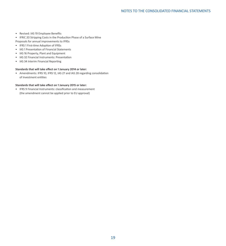- Revised: IAS 19 Employee Benefits
- IFRIC 20 Stripping Costs in the Production Phase of a Surface Mine
- Proposals for annual improvements to IFRSs
- IFRS 1 First-time Adoption of IFRSs
- IAS 1 Presentation of Financial Statements
- IAS 16 Property, Plant and Equipment
- IAS 32 Financial Instruments: Presentation
- IAS 34 Interim Financial Reporting

# **Standards that will take effect on 1 January 2014 or later:**

• Amendments: IFRS 10, IFRS 12, IAS 27 and IAS 28 regarding consolidation of Investment entities

# **Standards that will take effect on 1 January 2015 or later:**

• IFRS 9 Financial Instruments: classification and measurement (the amendment cannot be applied prior to EU approval)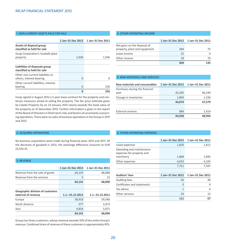# 1. Non-current assets held for sale

|                                                               |          | 1 Jan-31 Dec 2012 1 Jan-31 Dec 2011 |
|---------------------------------------------------------------|----------|-------------------------------------|
| Assets of disposal group<br>classified as held for sale       |          |                                     |
| Incap Corporation's Vuokatti plant<br>property                | 1,936    | 1,936                               |
| Liabilities of disposals group<br>classified as held for sale |          |                                     |
| Other non-current liabilities to<br>others, interest-bearing  | $\Omega$ | $\left( \right)$                    |
| Other current liabilities, interest-<br>bearing               | $\Omega$ | 256                                 |
|                                                               | 0        | 256                                 |

Incap signed in August 2012 a 5-year lease contract for the property and continues measures aimed at selling the property. The fair price estimate given by Catella Property Oy on 23 January 2012 clearly exceeds the book value of the property on 31 December 2012. Further information is given in the report of the Board of Directors in Short-term risks and factors of uncertainty concerning operations. There were no sales of business operations in the Group in 2011 and 2012.

# 4. Other operating income

|                                                               |     | 1 Jan-31 Dec 2012 1 Jan-31 Dec 2011 |
|---------------------------------------------------------------|-----|-------------------------------------|
| Net gains on the disposal of<br>property, plant and equipment | 364 | 75                                  |
| Lease income                                                  | 22  | 0                                   |
| Other income                                                  | 18  | 70                                  |
|                                                               | 404 | 145                                 |

# 5. Raw materials and services

| <b>Raw materials and consumables</b> | 1 Jan-31 Dec 2012 | 1 Jan-31 Dec 2011 |
|--------------------------------------|-------------------|-------------------|
| Purchases during the financial       |                   |                   |
| vear                                 | 42,205            | 46,249            |
| Change in inventories                | 1,869             | 1,330             |
|                                      | 44,074            | 47,579            |
|                                      |                   |                   |
| <b>External services</b>             | 884               | 1,414             |
|                                      | 44,958            | 48.993            |

#### 2. Acquired operations

3. Revenue

No business acquisitions were made during financial years 2012 and 2011. Of the decrease of goodwill in 2012, the exchange difference amounts to EUR 23,533.25.

| 1 Jan-31 Dec 2012  | 1 Jan-31 Dec 2011  |
|--------------------|--------------------|
| 64,135             | 68,868             |
| 5                  | 22                 |
| 64,141             | 68,890             |
|                    |                    |
|                    |                    |
| $1.1 - 31.12.2012$ | $1.1 - 31.12.2011$ |
| 58,910             | 59,546             |
| 377                | 3,473              |
| 4,854              | 5,871              |
| 64,141             | 68,890             |
|                    |                    |

Group has three customers, whose revenue exceeds 10% of the entire Group's revenue. Combined share of revenue of these customers is approximately 41%.

# 6. Other operating expenses

|                                                        | 1 Jan-31 Dec 2012 | 1 Jan-31 Dec 2011 |
|--------------------------------------------------------|-------------------|-------------------|
| Lease expenses                                         | 1,820             | 1,811             |
| Operating and maintenance<br>expenses for property and |                   |                   |
| machinery                                              | 1,868             | 1,682             |
| Other expenses                                         | 4,033             | 4,105             |
|                                                        | 7,721             | 7,597             |
|                                                        |                   |                   |
| <b>Auditors' fees</b>                                  | 1 Jan-31 Dec 2012 | 1 Jan-31 Dec 2011 |
| <b>Auditing fees</b>                                   | 56                | 49                |
| Certificates and statements                            | $\Omega$          | $\Omega$          |
| Tax advice                                             | $\mathbf{1}$      | $\overline{4}$    |
| Other services                                         | 54                | 15                |
|                                                        | 111               | 67                |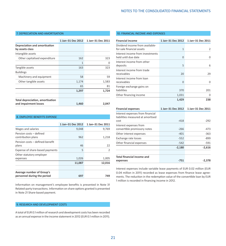# 7. Depreciation and amortisation

|                                                           | 1 Jan-31 Dec 2012 | 1 Jan-31 Dec 2011 |
|-----------------------------------------------------------|-------------------|-------------------|
| Depreciation and amortisation<br>by assets class          |                   |                   |
| Intangible assets                                         |                   |                   |
| Other capitalised expenditure                             | 162               | 323               |
|                                                           | 1                 | O                 |
| Tangible assets                                           | 163               | 323               |
| <b>Buildings</b>                                          |                   |                   |
| Machinery and equipment                                   | 58                | 59                |
| Other tangible assets                                     | 1,174             | 1,583             |
|                                                           | 65                | 81                |
|                                                           | 1,297             | 1,724             |
|                                                           |                   |                   |
| Total depreciation, amortisation<br>and impairment losses | 1,460             | 2,047             |

# 10. Financial income and expenses

| <b>Financial income</b>                                                       | 1 Jan-31 Dec 2012 | 1 Jan-31 Dec 2011 |
|-------------------------------------------------------------------------------|-------------------|-------------------|
| Dividend income from available-<br>for-sale financial assets                  | $\mathbf{1}$      | 2                 |
| Interest income from investments<br>held until due date                       | $\Omega$          | $\Omega$          |
| Interest income from other<br>deposits                                        | 5                 | 6                 |
| Interest income from trade<br>receivables                                     | 20                | 29                |
| Interest income from loan<br>receivables                                      | $\Omega$          | $\mathbf{0}$      |
| Foreign exchange gains on<br>liabilities                                      | 370               | 201               |
| Other financing income                                                        | 1,031             | 0                 |
|                                                                               | 1,429             | 238               |
|                                                                               |                   |                   |
| <b>Financial expenses</b>                                                     | 1 Jan-31 Dec 2012 | 1 Jan-31 Dec 2011 |
| Interest expenses from financial<br>liabilities measured at amortised<br>cost | $-418$            | $-292$            |
| Interest expenses from<br>convertible promissory notes                        | $-266$            | $-473$            |
| Other interest expenses                                                       | $-401$            | $-363$            |
| Exchange rate losses                                                          | $-552$            | $-899$            |
| Other financial expenses                                                      | $-542$            | $-591$            |
|                                                                               | $-2,180$          | $-2,616$          |

Interest expenses include variable lease payments of EUR 0.02 million (EUR 0.04 million in 2011) recorded as lease expenses from finance lease agreements. The reduction in the redemption value of the convertible loan by EUR 1 million is recorded in financing income in 2012.

# 8. Employee benefits expense

|                                                                 | 1 Jan-31 Dec 2012 | 1 Jan-31 Dec 2011 |
|-----------------------------------------------------------------|-------------------|-------------------|
| Wages and salaries                                              | 9,048             | 9,769             |
| Pension costs - defined<br>contribution plans                   | 962               | 1,218             |
| Pension costs - defined-benefit<br>plans                        | 46                | 22                |
| Expense of share-based payments                                 | 5                 | $\overline{2}$    |
| Other statutory employer<br>expenses                            | 1,026             | 1,005             |
|                                                                 | 11,087            | 12,016            |
| <b>Average number of Group's</b><br>personnel during the period | 697               | 749               |

Information on management's employee benefits is presented in Note 31 Related-party transactions. Information on share options granted is presented in Note 21 Share-based payment.

# 9. Research and development costs

A total of EUR 0.1 million of research and development costs has been recorded as an annual expense in the income statement in 2012 (EUR 0.1 million in 2011).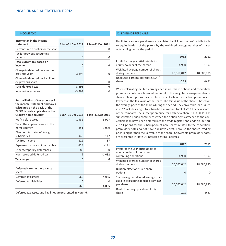# 11. Income tax

| Income tax in the income                                |                   |                   |
|---------------------------------------------------------|-------------------|-------------------|
| statement                                               | 1 Jan-31 Dec 2012 | 1 Jan-31 Dec 2011 |
| Current tax on profits for the year                     | $\left( \right)$  |                   |
| Tax for previous accounting<br>periods                  | 0                 |                   |
| Total current tax based on<br>income                    | 0                 | 0                 |
| Change in deferred tax assets on<br>previous years      | $-3,498$          | 0                 |
| Change in deferred tax liabilities<br>on previous years | 0                 | 0                 |
| <b>Total deferred tax</b>                               | $-3,498$          | 0                 |
| Income tax expense                                      | $-3,498$          | 0                 |
|                                                         |                   |                   |

#### **Reconciliation of tax expenses in**

**the income statement and taxes** 

**calculated on the basis of the 24.5% tax rate applicable in the** 

| Group's home country                              | 1 Jan-31 Dec 2012 | 1 Jan-31 Dec 2011 |
|---------------------------------------------------|-------------------|-------------------|
| Profit before taxes                               | $-1,432$          | $-3,997$          |
| Tax at the applicable rate in the<br>home country | 351               | 1,039             |
| Divergent tax rates of foreign<br>subsidiaries    | $-442$            | 117               |
| Tax-free income                                   | 122               | 87                |
| Expenses that are not deductible                  | $-128$            | $-191$            |
| Other temporary differences                       | 88                | 30                |
| Non-recorded deferred tax                         | 9                 | $-1,082$          |
| Tax charge                                        | $\mathbf{0}$      | 0                 |
| Deferred taxes in the balance<br>sheet            |                   |                   |
| Deferred tax assets                               | 560               | 4,085             |
| Deferred tax liabilities                          | $\Omega$          | $\Omega$          |
|                                                   | 560               | 4,085             |

Deferred tax assets and liabilities are presented in Note 16.

### 12. Earnings per share

Undiluted earnings per share are calculated by dividing the profit attributable to equity holders of the parent by the weighted average number of shares outstanding during the period.

|                                                                     | 2012       | 2011       |
|---------------------------------------------------------------------|------------|------------|
| Profit for the year attributable to<br>equity holders of the parent | $-4.930$   | $-3,997$   |
| Weighted average number of shares<br>during the period              | 20,067,042 | 18,680,880 |
| Undiluted earnings per share, EUR/<br>share,                        | $-0.25$    | $-0.21$    |

When calculating diluted earnings per share, share options and convertible promissory notes are taken into account in the weighted average number of shares. Share options have a dilutive effect when their subscription price is lower than the fair value of the share. The fair value of the share is based on the average price of the shares during the period. The convertible loan issued in 2012 includes a right to subscribe a maximum total of 7,112,195 new shares of the company. The subscription price for each new share is EUR 0.41. The subscription period commences when the option rights attached to the convertible loan have been entered into the trade register, and ends on 30 April 2017. Options for the subscription of new shares related to the convertible promissory notes do not have a dilutive effect, because the shares' trading price is higher than the fair value of the share. Convertible promissory notes are presented in Note 24 Interest-bearing liabilities.

|                                                                                               | 2012       | 2011       |
|-----------------------------------------------------------------------------------------------|------------|------------|
| Profit for the year attributable to<br>equity holders of the parent,<br>continuing operations | $-4,930$   | $-3,997$   |
| Weighted average number of shares<br>during the period                                        | 20.067.042 | 18,680,880 |
| Dilution effect of issued share<br>options                                                    | 0          | $\cap$     |
| Share-weighted diluted average price<br>used in calculating adjusted earnings<br>per share    | 20,067,042 | 18,680,880 |
| Diluted earnings per share, EUR/<br>share                                                     | $-0.25$    |            |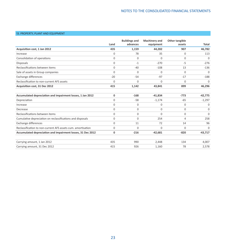# 13. Property, plant and equipment

|                                                              |              | <b>Buildings and</b><br>advances | <b>Machinery and</b> | Other tangible |           |
|--------------------------------------------------------------|--------------|----------------------------------|----------------------|----------------|-----------|
|                                                              | Land         |                                  | equipment            | assets         | Total     |
| Acquisition cost, 1 Jan 2012                                 | 435          | 1,159                            | 44,282               | 907            | 46,782    |
| Increase                                                     | $\Omega$     | 78                               | 35                   | $\mathbf{0}$   | 113       |
| Consolidation of operations                                  | $\Omega$     | $\Omega$                         | $\Omega$             | $\Omega$       | $\Omega$  |
| <b>Disposals</b>                                             | $\Omega$     | $-1$                             | $-270$               | $-5$           | $-276$    |
| Reclassifications between items                              | $\Omega$     | $-40$                            | $-108$               | 13             | $-136$    |
| Sale of assets in Group companies                            | $\Omega$     | $\Omega$                         | $\Omega$             | $\Omega$       | $\Omega$  |
| Exchange differences                                         | $-20$        | $-54$                            | $-97$                | $-17$          | $-188$    |
| Reclassification to non-current AFS assets                   | $\Omega$     | $\Omega$                         | $\Omega$             | $\Omega$       | $\Omega$  |
| Acquisition cost, 31 Dec 2012                                | 415          | 1,142                            | 43,841               | 899            | 46,296    |
|                                                              |              |                                  |                      |                |           |
| Accumulated depreciation and impairment losses, 1 Jan 2012   | $\mathbf{0}$ | $-168$                           | $-41,834$            | $-773$         | $-42,775$ |
| Depreciation                                                 | $\Omega$     | $-58$                            | $-1,174$             | $-65$          | $-1,297$  |
| Increase                                                     | $\Omega$     | $\Omega$                         | $\Omega$             | $\Omega$       | $\Omega$  |
| Decrease                                                     | $\mathbf{0}$ | $\mathbf{0}$                     | $\mathbf{0}$         | $\mathbf{0}$   | 0         |
| Reclassifications between items                              | $\Omega$     | $\Omega$                         | $\Omega$             | $\Omega$       | $\Omega$  |
| Cumulative depreciation on reclassifications and disposals   | $\Omega$     | $\Omega$                         | 254                  | 4              | 258       |
| Exchange differences                                         | $\Omega$     | 11                               | 72                   | 14             | 96        |
| Reclassification to non-current AFS assets cum, amortisation | $\Omega$     | $\Omega$                         | $\Omega$             | $\Omega$       | $\Omega$  |
| Accumulated depreciation and impairment losses, 31 Dec 2012  | 0            | $-216$                           | $-42,681$            | $-820$         | $-43,717$ |
| Carrying amount, 1 Jan 2012                                  | 435          | 990                              | 2,448                | 134            | 4,007     |
| Carrying amount, 31 Dec 2012                                 | 415          | 926                              | 1,160                | 78             | 2,578     |
|                                                              |              |                                  |                      |                |           |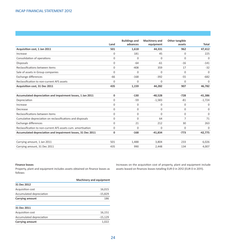|                                                              | Land         | <b>Buildings and</b><br>advances | <b>Machinery and</b><br>equipment | Other tangible<br>assets | Total        |
|--------------------------------------------------------------|--------------|----------------------------------|-----------------------------------|--------------------------|--------------|
| Acquisition cost, 1 Jan 2011                                 | 501          | 1,618                            | 44,331                            | 962                      | 47,412       |
| Increase                                                     | $\Omega$     | 181                              | 45                                | $\Omega$                 | 225          |
| Consolidation of operations                                  | $\Omega$     | $\Omega$                         | $\Omega$                          | $\Omega$                 | $\Omega$     |
| <b>Disposals</b>                                             | $\Omega$     | $-64$                            | $-61$                             | $-16$                    | $-141$       |
| Reclassifications between items                              | $\Omega$     | $-408$                           | 359                               | 17                       | $-32$        |
| Sale of assets in Group companies                            | $\Omega$     | $\Omega$                         | $\Omega$                          | $\Omega$                 | $\Omega$     |
| Exchange differences                                         | $-66$        | $-168$                           | $-392$                            | $-55$                    | $-682$       |
| Reclassification to non-current AFS assets                   | $\Omega$     | $\mathbf{0}$                     | $\mathbf 0$                       | 0                        | $\mathbf{0}$ |
| Acquisition cost, 31 Dec 2011                                | 435          | 1,159                            | 44,282                            | 907                      | 46,782       |
|                                                              |              |                                  |                                   |                          |              |
| Accumulated depreciation and impairment losses, 1 Jan 2011   | $\mathbf{0}$ | $-130$                           | $-40,528$                         | $-728$                   | $-41,386$    |
| Depreciation                                                 | $\Omega$     | $-59$                            | $-1,583$                          | $-81$                    | $-1,724$     |
| Increase                                                     | $\mathbf{0}$ | $\mathbf{0}$                     | 0                                 | $\mathbf{0}$             | $\Omega$     |
| Decrease                                                     | $\Omega$     | $\Omega$                         | $\Omega$                          | $\Omega$                 | $\Omega$     |
| Reclassifications between items                              | $\Omega$     | $\Omega$                         | $\Omega$                          | $\Omega$                 | 0            |
| Cumulative depreciation on reclassifications and disposals   | $\Omega$     | $\Omega$                         | 64                                | $\overline{7}$           | 71           |
| Exchange differences                                         | $\Omega$     | 21                               | 212                               | 30                       | 263          |
| Reclassification to non-current AFS assets cum, amortisation | $\Omega$     | $\Omega$                         | $\Omega$                          | $\Omega$                 | $\Omega$     |
| Accumulated depreciation and impairment losses, 31 Dec 2011  | 0            | $-168$                           | $-41,834$                         | $-773$                   | $-42,775$    |
|                                                              |              |                                  |                                   |                          |              |
| Carrying amount, 1 Jan 2011                                  | 501          | 1.488                            | 3.804                             | 233                      | 6,026        |
| Carrying amount, 31 Dec 2011                                 | 435          | 990                              | 2,448                             | 134                      | 4,007        |

#### **Finance leases**

Property, plant and equipment includes assets obtained on finance leases as follows:

Increases on the acquisition cost of property, plant and equipment include assets leased on finances leases totalling EUR 0 in 2012 (EUR 0 in 2011).

|                          | <b>Machinery and equipment</b> |
|--------------------------|--------------------------------|
| 31 Dec 2012              |                                |
| Acquisition cost         | 16,015                         |
| Accumulated depreciation | $-15,829$                      |
| <b>Carrying amount</b>   | 186                            |
| 31 Dec 2011              |                                |
| Acquisition cost         | 16,151                         |
| Accumulated depreciation | $-15,129$                      |
| Carrying amount          | 1,022                          |
|                          |                                |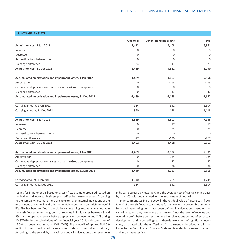|                                                               | Goodwill     | Other intangible assets | <b>Total</b>   |
|---------------------------------------------------------------|--------------|-------------------------|----------------|
| Acquisition cost, 1 Jan 2012                                  | 2,452        | 4,408                   | 6,861          |
| Increase                                                      | $\mathbf{0}$ | $\mathbf 0$             | $\mathbf 0$    |
| Decrease                                                      | $\Omega$     | $\Omega$                | $\mathbf 0$    |
| Reclassifications between items                               | $\mathbf 0$  | $\mathbf{0}$            | $\overline{0}$ |
| Exchange difference                                           | $-24$        | $-47$                   | $-71$          |
| Acquisition cost, 31 Dec 2012                                 | 2,429        | 4,361                   | 6,790          |
| Accumulated amortisation and impairment losses, 1 Jan 2012    | $-1,489$     | $-4,067$                | $-5,556$       |
| Amortisation                                                  | $\mathbf 0$  | $-163$                  | $-163$         |
| Cumulative depreciation on sales of assets in Group companies | $\Omega$     | $\Omega$                | $\Omega$       |
| Exchange difference                                           | $\mathbf 0$  | 47                      | 47             |
| Accumulated amortisation and impairment losses, 31 Dec 2012   | $-1,489$     | $-4,183$                | $-5,672$       |
| Carrying amount, 1 Jan 2012                                   | 964          | 341                     | 1,304          |
| Carrying amount, 31 Dec 2012                                  | 940          | 178                     | 1,118          |
| Acquisition cost, 1 Jan 2011                                  | 2,529        | 4,607                   | 7,136          |
| Increase                                                      | $\mathbf 0$  | 17                      | 17             |
| Decrease                                                      | $\mathbf 0$  | $-25$                   | $-25$          |
| Reclassifications between items                               | $\Omega$     | $\Omega$                | $\overline{0}$ |
| Exchange difference                                           | $-77$        | $-190$                  | $-267$         |
| Acquisition cost, 31 Dec 2011                                 | 2,452        | 4,408                   | 6,861          |
| Accumulated amortisation and impairment losses, 1 Jan 2011    | $-1,489$     | $-3,902$                | $-5,391$       |
| Amortisation                                                  | $\mathbf{0}$ | $-324$                  | $-324$         |
| Cumulative depreciation on sales of assets in Group companies | $\mathbf 0$  | 22                      | 22             |
| Exchange difference                                           | $\mathbf 0$  | 136                     | 136            |
| Accumulated amortisation and impairment losses, 31 Dec 2011   | $-1,489$     | $-4,067$                | $-5,556$       |
| Carrying amount, 1 Jan 2011                                   | 1,040        | 705                     | 1,745          |
| Carrying amount, 31 Dec 2011                                  | 964          | 341                     | 1,304          |

Testing for impairment is based on a cash flow estimate prepared based on the budget and four-year business plan ratified by the management. According to the company's estimate there are no external or internal indications of the impairment of goodwill and other intangible assets with an indefinite useful life. This has been verified in calculations concerning recoverable amount. In the cash flow estimate the growth of revenue in India varies between 8 and 9% and the operating profit before depreciation between 9 and 12% during 2013‒2016. In the calculations of the financial year 2012, a discount rate of 16.0% has been used in India (2011: 17.4%). The goodwill of approx. EUR 0.9 million in the consolidated balance sheet refers to the Indian subsidiary. According to the sensitivity analysis of goodwill calculations, the revenue in

14. Intangible assets

India can decrease by max. 18% and the average cost of capital can increase by max. 10% without any need for the impairment of goodwill.

In impairment testing of goodwill, the residual value of future cash flows is 54% of the cash flows in calculations for value in use. Recoverable amounts from cash generating units have been defined in calculations based on the value in use, and they involve use of estimates. Since the levels of revenue and operating profit before depreciation used in calculations do not reflect actual development during preceding years, there is an element of significant uncertainty associated with them. Testing of impairment is described also in the Notes to the Consolidated Financial Statements under Impairment of assets and Impairment testing.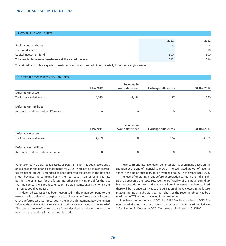# 15. Other financial assets

|                                                             | 2012 | 2011 |
|-------------------------------------------------------------|------|------|
| Publicly quoted shares                                      |      |      |
| Unquoted shares                                             |      | 10   |
| Capital investment fund                                     | 300  | 300  |
| Total available-for-sale investments at the end of the year | 311  | 314  |

The fair value of publicly quoted investments in shares does not differ materially from their carrying amount.

# 16. Deferred tax assets and liabilities

|                                     | 1 Jan 2012 | <b>Recorded in</b><br>income statement | <b>Exchange differences</b> | 31 Dec 2012 |
|-------------------------------------|------------|----------------------------------------|-----------------------------|-------------|
| Deferred tax assets                 |            |                                        |                             |             |
| Tax losses carried forward          | 4,085      | $-3,498$                               | $-27$                       | 560         |
| Deferred tax liabilities            |            |                                        |                             |             |
| Accumulated depreciation difference |            |                                        |                             |             |

|                                     | <b>Recorded in</b> |                  |                             |             |  |
|-------------------------------------|--------------------|------------------|-----------------------------|-------------|--|
|                                     | 1 Jan 2011         | income statement | <b>Exchange differences</b> | 31 Dec 2011 |  |
| Deferred tax assets                 |                    |                  |                             |             |  |
| Tax losses carried forward          | 4.209              |                  | $-124$                      | 4,085       |  |
| Deferred tax liabilities            |                    |                  |                             |             |  |
| Accumulated depreciation difference |                    |                  |                             | U           |  |

Parent company's deferred tax assets of EUR 3.3 million has been recorded as an expense in the financial statements for 2012. There are no longer prerequisites based on IAS 12 standard to keep deferred tax assets in the balance sheet, because the company has in the near past made losses and it has, besides the estimates for the future, no other convincing proof for the fact that the company will produce enough taxable income, against of which the tax losses could be utilised

A deferred tax asset has been recognised in the Indian company to the extent that is considered to be possible to utilise against future taxable income. Of the deferred tax assets recorded in the financial statement, EUR 0.6 million refers to the Indian subsidiary. The deferred tax asset is based on the Board of Directors' estimate of the company's future development during the next five years and the resulting imputed taxable profit.

The impairment testing of deferred tax assets has been made based on the situation at the end of financial year 2012. The estimated growth of revenue varies in the Indian subsidiary for an average of 8<sup>29%</sup> in the years 2013<sup>2016</sup>.

The level of operating profit before depreciation varies in the Indian subsidiary between 9 and 12%. Because the profitability of the Indian subsidiary has improved during 2012 and EUR 0.2 million of tax losses have been utilised, there will be no uncertainty as to the utilisation of the tax losses in the future. In 2013 the Indian subsidiary can fall short of the revenue objectives by a maximum of 7% without any need for write-down.

Loss from the taxation year 2002, i.e. EUR 1.0 million, expired in 2012. The non-recorded cumulative tax assets on tax losses carried forward totalled EUR 11.2 million on 31 December 2012. Tax losses expire in years 2013‒2022.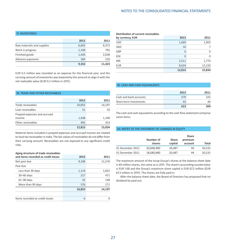# 17. Inventories

|                            | 2012  | 2011   |
|----------------------------|-------|--------|
| Raw materials and supplies | 6,602 | 8,372  |
| Work in progress           | 1.140 | 792    |
| Finished goods             | 1.426 | 2,038  |
| Advance payments           | 184   | 220    |
|                            | 9,352 | 11,423 |

EUR 0.5 million was recorded as an expense for the financial year, and the carrying amount of inventories was lowered by this amount to align it with the net realisable value (EUR 0.2 million in 2011).

| <b>18. TRADE AND OTHER RECEIVABLES</b> |        |        |
|----------------------------------------|--------|--------|
|                                        | 2012   | 2011   |
| Trade receivables                      | 10,853 | 14,197 |
| Loan receivables                       | 31     | 33     |
| Prepaid expenses and accrued<br>income | 1,438  | 1,190  |
| Other receivables                      | 492    | 414    |
|                                        | 12,815 | 15,834 |

Material items included in prepaid expenses and accrued income are related to local tax receivables in India. The fair values of receivables do not differ from their carrying amount. Receivables are not exposed to any significant credit risks.

#### **Aging structure of trade receivables**

| and items recorded as credit losses | 2012   | 2011   |
|-------------------------------------|--------|--------|
| Not past due                        | 9,108  | 11,576 |
| Past due                            |        |        |
| Less than 30 days                   | 1,119  | 1,831  |
| $30 - 60$ days                      | 217    | 471    |
| $61 - 90$ days                      | 32     | 148    |
| More than 90 days                   | 376    | 171    |
|                                     | 10,853 | 14,197 |
|                                     |        |        |
| Items recorded as credit losses     | 6      | O      |

# **Distribution of current receivables**

| by currency, EUR | 2012   | 2011     |
|------------------|--------|----------|
| <b>USD</b>       | 1,669  | 1,903    |
| <b>HKD</b>       | 10     | 7        |
| GBP              | 0      | 0        |
| <b>EEK</b>       | 0      | $\Omega$ |
| <b>INR</b>       | 2,511  | 1,774    |
| <b>EUR</b>       | 8,624  | 12,150   |
|                  | 12,815 | 15,834   |

# 19. Cash and cash equivalents

|                        | 2012 | 2011 |
|------------------------|------|------|
| Cash and bank accounts | 570  | 325  |
| Short-term investments | 43   | 44   |
|                        | 613  | 369  |

The cash and cash equivalents according to the cash flow statement comprise same items.

# 20. Notes to the statement of changes in equity

|                  | Number of<br>shares | <b>Share</b><br>capital | Share<br>premium<br>account | Total  |
|------------------|---------------------|-------------------------|-----------------------------|--------|
| 31 December 2012 | 20,848,980          | 20,487                  | 44                          | 20,531 |
| 31 December 2011 | 18,680,880          | 20,487                  | 44                          | 20,531 |

The maximum amount of the Incap Group's shares at the balance sheet date is 40 million shares, the same as in 2011. The share's accounting countervalue is EUR 1.68 and the Group's maximum share capital is EUR 67.2 million (EUR 67.2 million in 2011). The shares are fully paid in.

After the balance sheet date, the Board of Directors has proposed that no dividend be paid out.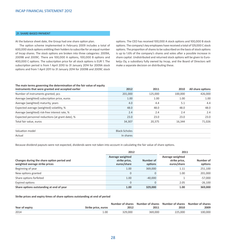# 21. SHARE-BASED PAYMENT

At the balance sheet date, the Group had one share option plan.

The option scheme implemented in February 2009 includes a total of 600,000 stock options entitling their holders to subscribe for an equal number of Incap shares. The stock options are broken into three categories: 2009A, 2009B and 2009C. There are 100,000 A options, 100,000 B options and 400,000 C options. The subscription price for all stock options is EUR 1. The subscription period is from 1 April 2010 to 31 January 2014 for 2009A stock options and from 1 April 2011 to 31 January 2014 for 2009B and 2009C stock options. The CEO has received 100,000 A stock options and 100,000 B stock options. The company's key employees have received a total of 129,000 C stock options. The proportion of shares to be subscribed on the basis of stock options is up to 1.6% of the company's shares and votes after a possible increase in share capital. Undistributed and returned stock options will be given to Euroketju Oy, a subsidiary fully owned by Incap, and the Board of Directors will make a separate decision on distributing these.

# **The main terms governing the determination of the fair value of equity**

| instruments that were granted and accepted earlier | 2012          | 2011    | 2010    | All share options |
|----------------------------------------------------|---------------|---------|---------|-------------------|
| Number of instruments granted, pcs                 | 201.000       | 125.000 | 100.000 | 426,000           |
| Average (weighted) subscription price, euros       | 1.00          | 1.00    | 1.00    | 1.00              |
| Average (weighted) maturity, years                 | 4.0           | 4.4     | 5.1     | 4.4               |
| Expected average (weighted) volatility, %          | 48.0          | 48.0    | 48.0    | 48.0              |
| Average (weighted) risk-free interest rate, %      | 2.4           | 2.4     | 2.4     | 2.4               |
| Expected personnel reductions (at grant date), %   | 23.0          | 23.0    | 23.0    | 23.0              |
| Total fair value, euros                            | 34,307        | 20,375  | 16,344  | 71,026            |
|                                                    |               |         |         |                   |
| Valuation model                                    | Black-Scholes |         |         |                   |
| Actual                                             | In shares     |         |         |                   |

Because dividend payouts were not expected, dividends were not taken into account in calculating the fair value of share options.

|                                                                              | 2012                                             |                      | 2011                                             |                      |
|------------------------------------------------------------------------------|--------------------------------------------------|----------------------|--------------------------------------------------|----------------------|
| Changes during the share option period and<br>weighted average strike prices | Average weighted<br>strike price,<br>euros/share | Number of<br>options | Average weighted<br>strike price,<br>euros/share | Number of<br>options |
| Beginning of year                                                            | 1.00                                             | 369,000              | 1.11                                             | 251,100              |
| New options granted                                                          | 0                                                |                      | 1.00                                             | 201,000              |
| Share options forfeited                                                      | 1.00                                             | $-40.000$            |                                                  | $-57,000$            |
| Expired options                                                              | $\Omega$                                         |                      | 2.05                                             | $-26,100$            |
| Share options outstanding at end of year                                     | 1.00                                             | 329,000              | 1.00                                             | 369,000              |

#### **Strike prices and expiry times of share options outstanding at end of period**

|                |                     |         | Number of shares Number of shares Number of shares Number of shares |         |         |
|----------------|---------------------|---------|---------------------------------------------------------------------|---------|---------|
| Year of expiry | Strike price, euros | 2012    | 2011                                                                | 2010    | 2009    |
| 2014           | L.OC                | 329,000 | 369,000                                                             | 225.000 | 100,000 |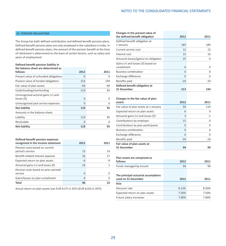# 22. Pension obligations

The Group has both defined-contribution and defined-benefit pension plans. Defined-benefit pension plans are only employed in the subsidiary in India. In defined-benefit pension plans, the amount of the pension benefit at the time of retirement is determined on the basis of certain factors, such as salary and years of employment.

| the balance sheet are determined as                         |          |                  |
|-------------------------------------------------------------|----------|------------------|
| follows:                                                    | 2012     | 2011             |
| Present value of unfunded obligations                       | 0        | Ω                |
| Present value of funded obligations                         | 213      | 194              |
| Fair value of plan assets                                   | $-94$    | $-99$            |
| Underfunding/overfunding                                    | 119      | 95               |
| Unrecognised acturial gains (+) and<br>$losses(\mathbb{Z})$ | 0        | $\Omega$         |
| Unrecognised past service expenses                          | 0        | $\left( \right)$ |
| <b>Net liability</b>                                        | 119      | 95               |
| Amounts in the balance sheet:                               |          |                  |
| Liability                                                   | 119      | 95               |
| Receivable                                                  | $\Omega$ | O                |
| <b>Net liability</b>                                        | 119      | 95               |

| Defined-benefit pension expenses                   |      |          |
|----------------------------------------------------|------|----------|
| recognised in the income statement                 | 2012 | 2011     |
| Pension costs based on current<br>period's service | 13   | 14       |
| Benefit-related interest expense                   | 16   | 17       |
| Expected return on plan assets                     | -6   | $-9$     |
| Actuarial gains $(+)$ and losses $(2)$             | 24   | 1        |
| Pension costs based on prior periods'<br>service   | 0    | U        |
| Gains/losses on plan curtailment                   | 0    | $\Omega$ |
| <b>Total</b>                                       | 46   | 22       |

Actual return on plan assets was EUR 9,271 in 2012 (EUR 8,120 in 2011)

| Changes in the present value of<br>the defined benefit obligation | 2012     | 2011     |
|-------------------------------------------------------------------|----------|----------|
| Defined benefit obligation at                                     |          |          |
| 1 January                                                         | 185      | 184      |
| Current service cost                                              | 12       | 13       |
| Interest cost                                                     | 15       | 16       |
| Actuarial losses/(gains) on obligation                            | 25       | 0        |
| Gains (+) and losses (2) based on<br>curtailment                  | 0        | 0        |
| <b>Business combination</b>                                       | $\Omega$ | 0        |
| Exchange difference                                               | $\Omega$ | $\Omega$ |
| Benefits paid                                                     | $-24$    | $-19$    |
| Defined benefit obligation at<br>31 December                      | 213      | 194      |
| Changes in the fair value of plan<br>assets                       | 2012     | 2011     |
| Fair value of plan assets at 1 January                            | 94       | 110      |
| Expected return on plan assets                                    | 6        | 9        |
| Actuarial gains $(+)$ and losses $(2)$                            | 3        | $-1$     |
| Contributions by employer                                         | 15       | 0        |
| Contributions by plan participants                                | 0        | 0        |
| <b>Business combination</b>                                       | 0        | 0        |
| Exchange difference                                               | 0        | 0        |
| Benefits paid                                                     | $-24$    | $-19$    |
| Fair value of plan assets at<br>31 December                       | 94       | 99       |
| Plan assets are comprised as<br>follows:                          | 2012     | 2011     |
| Funds managed by insurer                                          | 94       | 99       |
| The principal actuarial assumptions<br>used on 31 December        | 2012     | 2011     |
| Asia                                                              |          |          |
| Discount rate                                                     | 8.15%    | 8.50%    |
| Expected return on plan assets                                    | 7.50%    | 7.50%    |
| Future salary increases                                           | 7.00%    | 7.00%    |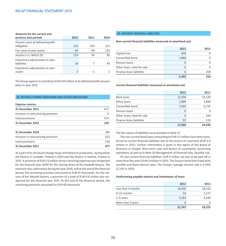| Amounts for the current and                    |      |      |      |
|------------------------------------------------|------|------|------|
| previous two periods                           | 2012 | 2011 | 2010 |
| Present value of defined benefit<br>obligation | 213  | 194  | 211  |
| Fair value of plan assets                      | 94   | 99   | 126  |
| Surplus $(+)$ / deficit $(\mathbb{Z})$         | 119  | 95   | 85   |
| Experience adjustments on plan<br>liabilities  | 18   | 7    | 43   |
| Experience adjustments on plan<br>assets       | ξ    |      |      |

The Group expects to contribute EUR 0.01 million to its defined benefit pension plans in year 2013.

# 23. Restructuring provision and other provisions

#### **Expense reserve**

| 31 December 2011                    | 677    |
|-------------------------------------|--------|
| Increase in restructuring provision |        |
| Used provisions                     | $-574$ |
| 31 December 2012                    | 103    |
| 31 December 2010                    | 285    |
| Increase in restructuring provision | 622    |
| Used provisions                     | $-230$ |
| 31 December 2011                    | 677    |

As a part of its structural change Incap centralised its production, closing down the factory in Vuokatti, Finland in 2010 and the factory in Helsink, Finland in 2012. A provision of EUR 2.6 million of non-recurring expenses was recognised for the financial year 2009 for the closing down of the Vuokatti factory. The provision was used mainly during the year 2010, and at the end of the financial period, the remaining provision amounted to EUR 55 thousands. For the closure of the Helsinki factory, a provision of a total of EUR 0.6 million was recognised for the financial year 2011. At the end of the financial period, the remaining provision amounted to EUR 48 thousands.

### 24. Interest-bearing liabilities

#### **Non-current financial liabilities measured at amortised cost**

|                            | 2012  | 2011 |
|----------------------------|-------|------|
| Capital loan               | 600   |      |
| Convertible bond           | 1,886 | U    |
| Pension loans              | 0     | U    |
| Other loans, held-for-sale | 0     | U    |
| Finance lease liabilities  | 6     | 259  |
|                            | 2.492 | 259  |

#### **Current financial liabilities measured at amortised cost**

|                            | 2012     | 2011     |
|----------------------------|----------|----------|
| <b>Bank loans</b>          | 12,558   | 15,129   |
| Other loans                | 1,899    | 1,899    |
| Convertible bond           | 3,405    | 6,735    |
| Pension loans              | 0        | $\Omega$ |
| Other loans, held-for-sale | $\Omega$ | 256      |
| Finance lease liabilities  | 97       | 574      |
|                            | 17,959   | 24,592   |

The fair values of liabilities are presented in Note 27.

The non-current bank loans amounting to EUR 3.5 million have been transferred to current financial liabilities due to the breach of covenants (EUR 3.9 million in 2011). Further information is given in the report of the Board of Directors in chapter Short-term risks and factors of uncertainty concerning operations as well as in Note 26 Management of financial risks, liquidity risk.

Of non-current financial liabilities, EUR 0 million are due to be paid off in more than five years (EUR 0 million in 2011). The Group's bank loans have both variable and fixed interest rates. The Group's average interest rate is 6.34% (5.22% in 2011).

#### **Forthcoming payable interest and instalments of loans**

|                    | 2012   | 2011   |
|--------------------|--------|--------|
| Less than 6 months | 18,430 | 18,533 |
| 6-12 months        | 54     | 3,173  |
| 1-5 years          | 3,263  | 4,546  |
| More than 5 years  | 0      | 0      |
|                    | 21,747 | 26,252 |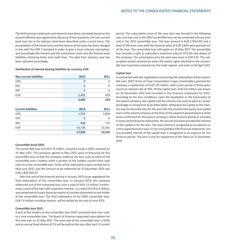The forthcoming instalments and interests have been calculated based on the present effective loan agreements. Because of the covenants, the non-current bank loan has in the balance sheet been described under current loans. The presentation of the instalments and the interest of the loans has been changed in line with the IFRS 7 standard in order to give a more relevant conception, and accordingly the interest and the instalments cover also the finance lease liabilities, factoring limits and credit lines. The data from previous year has been adjusted accordingly.

#### **Distribution of interest-bearing liabilities by currency, EUR**

| <b>Non-current liabilities</b> | 2012         | 2011         |
|--------------------------------|--------------|--------------|
| <b>USD</b>                     | $\mathbf{0}$ | $\mathbf{0}$ |
| EEK                            | $\mathbf{0}$ | $\mathbf{0}$ |
| <b>INR</b>                     | $\mathbf{0}$ | $\mathbf{0}$ |
| <b>EUR</b>                     | 2,492        | 259          |
|                                | 2,492        | 259          |
|                                |              |              |
| <b>Current liabilities</b>     | 2012         | 2011         |
| <b>USD</b>                     | 1,555        | 1,604        |
| EEK                            | $\mathbf{0}$ | $\mathbf{0}$ |
| <b>INR</b>                     | 668          | 727          |
| <b>EUR</b>                     | 15,736       | 22,261       |
|                                | 17,959       | 24,592       |

#### **Convertible bond 2007**

The convertible loan of EUR 6.75 million, issued by Incap in 2007, matured on 25 May 2012. The company agreed in May 2012 upon re-financing for the convertible loan so that the company redeems the loan units to some of the convertible loan's holders while a portion of the holders convert their loan units to a new convertible loan. Some of the redemptions were carried out in May-June 2012, and the amount to be redeemed by 31 December 2012 was EUR 2,405,950.27.

After the end of the financial period in January 2013 Incap negotiated the final redemption of the convertible loan. In January 2013, the company redeemed out of the remaining loan units a total of EUR 1.0 million. Furthermore, a part of the loan with respective interest, i.e. a total of EUR 0.4 million, was converted to Incap's shares by means of a private placement to one holder of the convertible loan. The final redemption of the 2007 convertible loan, EUR 1.0 million including interest, will be settled by the end of June 2013.

# **Convertible loan 2012**

A part of the holders of the convertible loan 2007 converted their loan units to a new convertible loan. The Board of Directors approved subscriptions for this new loan on 25 May 2012. The issue rate of the convertible loan is 100% and an annual fixed interest of 7% will be paid on the loan after each 12-month period. The subscription price of the new loan was formed in the following way: one loan unit in the 2007 convertible loan can be converted into one loan unit in the 2012 convertible loan. The loan amount is EUR 2,916,000 and a total of 540 loan units with the nominal value of EUR 5,400 were granted out of the loan. The convertible loan will expire on 25 May 2017. The convertible loan includes a right to subscribe a maximum total of 7,112,195 new shares of the company. The subscription price for each new share is EUR 0.41. The subscription period commences when the option rights attached to the convertible loan have been entered into the trade register, and ends on 30 April 2017.

#### **Capital loan**

In connection with the negotiations concerning the redemption of the convertible loan 2007, three of Incap Corporation's major shareholders granted the company a capital loan of EUR 1.05 million, with a loan period of three years and at an interest rate of 10%. Of the capital loan, EUR 0.6 million was drawn on 28 December 2012 and recorded in the financial statements for 2012. According to the loan conditions, upon the liquidation or the bankruptcy of the parent company, the capital and the interest may only be paid at a lower priviledge in comparison to all other debts. Otherwise the capital or the interest may be returned only for the part that the unrestricted equity and capital loans of the parent company at the time of the payment exceed balance sheet losses confirmed for the parent company's latest financial period or included in more recent financial statements. No security has been provided for interest on the capital or for the loan. The loan interest is recognised as an expense on a time apportionment basis. In the consolidated IFRS financial statements, the accumulated interest of the capital loan is recognised as an expense for the financial period. The loan is due for repayment at the latest on 31 December 2015.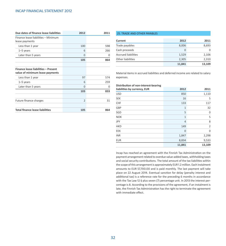| Due dates of finance lease liabilities                                 | 2012           | 2011     |
|------------------------------------------------------------------------|----------------|----------|
| Finance lease liabilities - Minimum<br>lease payments                  |                |          |
| Less than 1 year                                                       | 100            | 598      |
| $1-5$ years                                                            | 6              | 266      |
| Later than 5 years                                                     | $\Omega$       | $\Omega$ |
|                                                                        | 105            | 864      |
| Finance lease liabilities - Present<br>value of minimum lease payments |                |          |
| Less than 1 year                                                       | 97             | 574      |
| $1-5$ years                                                            | 6              | 259      |
| Later than 5 years                                                     | $\Omega$       | O        |
|                                                                        | 103            | 833      |
| Future finance charges                                                 | $\overline{2}$ | 31       |
| <b>Total finance lease liabilities</b>                                 | 105            | 864      |

#### 25. Trade and other payables

| Current                    | 2012   | 2011     |
|----------------------------|--------|----------|
| Trade payables             | 8,006  | 8,693    |
| Cash proceeds              | 0      | $\Omega$ |
| <b>Accrued liabilities</b> | 1,529  | 2,106    |
| Other liabilities          | 2,305  | 2,310    |
|                            | 11,841 | 13,109   |

Material items in accrued liabilities and deferred income are related to salary expenses.

# **Distribution of non-interest-bearing**

| liabilities by currency, EUR | 2012           | 2011           |
|------------------------------|----------------|----------------|
| <b>USD</b>                   | 850            | 1,110          |
| <b>SEK</b>                   | 16             | 5              |
| <b>CHF</b>                   | 133            | 117            |
| GBP                          | $\overline{1}$ | 32             |
| SGD                          | 5              | $\mathbf{0}$   |
| <b>NOK</b>                   | $\overline{1}$ | 5              |
| JPY                          | 4              | 8              |
| <b>HKD</b>                   | 149            | $\overline{2}$ |
| EEK                          | $\mathbf{0}$   | $\mathbf{0}$   |
| <b>INR</b>                   | 1,847          | 2,298          |
| <b>EUR</b>                   | 8,834          | 9,533          |
|                              | 11,841         | 13,109         |

Incap has reached an agreement with the Finnish Tax Administration on the payment arrangement related to overdue value-added taxes, withholding taxes and social security contributions. The total amount of the tax liabilities within the scope of this arrangement is approximately EUR 1.2 million. Each instalment amounts to EUR 57,700.00 and is paid monthly. The last payment will take place on 22 August 2014. Eventual sanction for delay (penalty interest and additional tax) is a reference rate for the preceding 6 months in accordance with the Tax Law 12 § plus seven (7) percentage unit. In 2013 the interest percentage is 8. According to the provisions of the agreement, if an instalment is late, the Finnish Tax Administration has the right to terminate the agreement with immediate effect.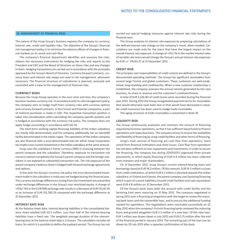### 26. Management of financial risks

The nature of the Incap Group's business exposes the company to currency, interest rate, credit and liquidity risks. The objective of the Group's financial risk management policy is to minimise the adverse effects of changes in financial markets on its result and cash flow.

The company's financial department identifies and assesses the risks, obtains the necessary instruments for hedging the risks and reports to the President and CEO and the Board of Directors on these risks and any changes in them. Hedging transactions are carried out in accordance with the principles approved by the Group's Board of Directors. Currency forward contracts, currency loans and interest rate swaps are used in risk management, whenever necessary. The financial structure of subsidiaries is planned, assessed and controlled with a view to the management of financial risks.

#### **Currency risks**

Because the Incap Group operates in the euro zone and Asia, the company's business involves currency risk. In accordance with its risk management policy, the company aims to hedge itself from currency risks with currency options and currency forward contracts. In the Finnish and Estonian companies, a part of material purchases is made in USD. The respective transaction position is taken into consideration when calculating the company-specific position and is hedged in accordance with the currency risk policy. The company does not apply hedge accounting in accordance with IAS 39.

The short-term working capital financing liabilities of the Indian subsidiary are mainly USD-denominated, and the company additionally has an overdraft facility denominated in the Indian rupee. The operations of the Indian company are also financed with a euro-denominated loan for which Incap Corporation has made a non-current investment in the Indian subsidiary at the same amount.

Incap uses the subsidiary's home currency (INR) in invoicing between the parent company and the subsidiary. Therefore, exposure to transaction risk concerns almost completely the Group's parent company and the foreign subsidiary is not exposed to substantial transaction risk. The risk exposure of the parent company's balance sheet is hedged with forward exchange agreements and options.

In line with the Group's currency risk policy the euro-denominated investment made in the subsidiary in India was not hedged during the financial year. The currency exchange differences arising from the investment are presented under exchange differences in the Group's non-restricted equity. A change of +15%/-15% in the EUR/INR exchange rate results in a decrease of EUR 115,141.95 or an increase of EUR 155,780.29 compared with the exchange difference at 31 December 2012.

# **Interest rate risk**

At the balance sheet date, interest-bearing liabilities in the consolidated balance sheet totalled EUR 20.5 million. Less than half of the interest-bearing liabilities have a fixed rate. The weighted average duration of the interestbearing loan at the balance sheet date is 2.8 years. The calculation includes all loans, for which it is possible to define the payback period. The Group has not carried out special hedging measures against interest rate risks during the financial year.

The Group analyses its interest rate exposure by preparing calculations of the defined interest rate change on the company's result, when needed. Calculations are made only for the loans that have the largest impact on the overall interest rate exposure. A change of +1%/-1% in the market interest rates of variable rate loans would change the Group's annual interest rate expenses by EUR +/- 119,161.37 at 31 December 2012.

# **Credit risk**

The principles and responsibilities of credit control are defined in the Group's documented operating methods. The Group has significant receivables from several large Finnish and global customers. These customers are well-established, long-standing and creditworthy. When a new customer relationship is established, the company assesses the annual volume generated by the new business, its share in revenue and the customer's creditworthiness.

A total of EUR 5,526.80 of credit losses were recorded during the financial year 2012. During 2012 the Group renegotiated payment terms for receivables that would otherwise have been due or that would have decreased in value. No credit insurance has been used to hedge trade receivables.

The aging structure of trade receivables is presented in Note 18.

# **Liquidity risk**

The Group continuously evaluates and monitors the amount of financing required by business operations, so that it has sufficient liquid funds to finance operations and repay due loans. The company strives to ensure the availability and flexibility of financing by using credit facilities and other forms of financing.

Incap's main sources of financing are cash flow from operations, loans raised from financial institutions and share issues. Cash flow from operations has not been sufficient to loan repayments and investments. In order to secure the financing, the company has during 201022012 organised three private placements, in which equity financing of EUR 4.9 million has been collected from investors and major shareholders.

On 31 December 2012, Incap Group's current interest-bearing loans and borrowings stood at EUR 18.0 million. Of this amount, EUR 14.5 million is a loan from credit institutions, of which EUR 4.1 million is directed towards the Indian subsidiary. In Finland and Estonia, the parent company uses factoring financing which is part of current liabilities.Unused credit facilities and cash equivalents were EUR 4.8 million on 31 December 2012.

Of the Group's bank loans both the account with credit facility and the factoring limit were maturing on 31 May 2012. The company negotiated in spring 2012 over a financing arrangement with the target to renew the maturing bank loans and the convertible loan, and to ensure the additional funding needed for operations. The negotiations were concluded successfully on 22 May 2012 when the company's Finnish financing banks renewed the maturing loans and granted altogether EUR 2.5 million in a new loan. Of this new loan, EUR 1 million was drawn down in July 2012 and EUR 0.75 million after the end of the financial period in January 2013. The remaining part of the loan can be drawn by 29 July 2013 after a separate confirmation of the bank.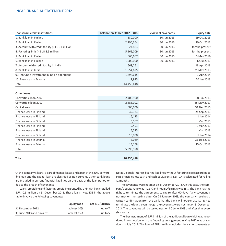# Incap financial statement 2012

| Loans from credit institutions                    | Balance on 31 Dec 2012 (EUR) | <b>Review of covenants</b> | <b>Expiry date</b> |
|---------------------------------------------------|------------------------------|----------------------------|--------------------|
| 1. Bank loan in Finland                           | 180,000                      | 30 Jun 2013                | 29 Oct 2013        |
| 2. Bank loan in Finland                           | 2,196,364                    | 30 Jun 2013                | 29 Oct 2013        |
| 3. Account with credit facility (< EUR 1 million) | 24,883                       | 30 Jun 2013                | for the present    |
| 4. Factoring limit (< EUR 8.5 million)            | 5,265,009                    | 30 Jun 2013                | for the present    |
| 5. Bank loan in Finland                           | 1,666,667                    | 30 Jun 2013                | 3 May 2016         |
| 6. Bank loan in Finland                           | 1,000,000                    | 30 Jun 2013                | 12 Jul 2017        |
| 7. Account with credit facility in India          | 668,261                      |                            | 13 Apr 2013        |
| 8. Bank loan in India                             | 1,554,675                    |                            | 31 May 2013        |
| 9. Finnfund's investment in Indian operations     | 1,898,615                    |                            | 1 Apr 2014         |
| 10. Bank loan in Estonia                          | 1,975                        |                            | 20 Jan 2013        |
| Total                                             | 14,456,448                   |                            |                    |

#### **Other loans**

| Total                    | 20,450,418 |             |
|--------------------------|------------|-------------|
| Total                    | 5,993,970  |             |
| Finance lease in Estonia | 14,168     | 15 Oct 2013 |
| Finance lease in Estonia | 3,029      | 31 Dec 2013 |
| Finance lease in Finland | 10,000     | 1 Jan 2014  |
| Finance lease in Finland | 5,535      | 1 Mar 2013  |
| Finance lease in Finland | 9,401      | 1 Mar 2013  |
| Finance lease in Finland | 5,567      | 1 Mar 2013  |
| Finance lease in Finland | 16,135     | 1 Jan 2014  |
| Finance lease in Finland | 39,183     | 28 Sep 2013 |
| Capital loan             | 600,000    | 31 Dec 2015 |
| Convertible Ioan 2012    | 2,885,002  | 25 May 2017 |
| Convertible Ioan 2007    | 2,405,950  | 30 Jun 2013 |

Of the company's loans, a part of finance leases and a part of the 2012 convertible loan and the capital loan are classified as non-current. Other bank loans are included in current financial liabilities on the basis of the loan period or due to the breach of covenants.

Loans, credit line and factoring credit line granted by a Finnish bank totalled EUR 10.3 million on 31 December 2012. These loans (Nos. 126 in the above table) involve the following covenants:

|                          | Equity ratio | net IBD/EBITDA |
|--------------------------|--------------|----------------|
| 31 December 2012         | at least 10% | up to 7        |
| 30 June 2013 and onwards | at least 15% | up to $5$      |

Net IBD equals interest-bearing liabilities without factoring lease according to IFRS principles less cash and cash equivalents. EBITDA is calculated for rolling 12 months.

The covenants were not met on 31 December 2012. On this date, the company's equity ratio was -10.3% and net IBD/EBITDA was 18.7. The bank has the right to terminate the agreements to expire after 60 days if any covenant is not met on the testing date. On 28 January 2013, the company received a written confirmation from the bank that the bank will not exercise its right to terminate the loans, even though the covenants were not met on 31 December 2013. The covenants will be tested next on 30 June 2013 and after that every six months.

The first instalment of EUR 1 million of the additional loan which was negotiated in connection with the financing arrangement in May 2012 was drawn down in July 2012. This loan of EUR 1 million includes the same covenants as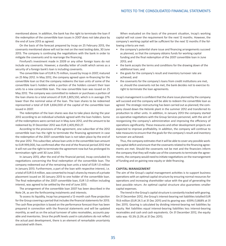mentioned above. In addition, the bank has the right to terminate the loan if the redemption of the convertible loan issues in 2007 does not take place by the end of June 2013 as agreed.

On the basis of the forecast prepared by Incap on 25 February 2013, the covenants mentioned above will not be met on the next testing date, 30 June 2013. The company is continuing the negotiations with the bank in order to mitigate the covenants and to rearrange the financing.

Finnfund's investment made in 2009 or any other foreign loans do not include any covenants. However, a standby letter of credit which serves as a security of a foreign bank's loan is including covenants.

The convertible loan of EUR 6.75 million, issued by Incap in 2007, matured on 25 May 2012. In May 2012, the company agreed upon re-financing for the convertible loan so that the company redeems the loan units of some of the convertible loan's holders while a portion of the holders convert their loan units to a new convertible loan. The new convertible loan was issued on 25 May 2012. The company was committed to redeem or purchases a portion of the loan shares to a total amount of EUR 2,805,550, which is in average 27% lower than the nominal value of the loan. The loan shares to be redeemed represented a total of EUR 3,834,000 of the capital of the convertible loan issued in 2007.

The redemption of the loan shares was due to take place during the year 2012 according to an individual schedule agreed with the loan holders. Some of the redemptions were carried out in May-June 2012, and the amount to be redeemed by 31 December 2012 was EUR 2,405,950.27.

According to the provisions of the agreement, one subscriber of the 2012 convertible loan has the right to terminate the financing agreement in case the redemption of the 2007 convertible loan is not taken place by the end of the year 2012. This subscriber, whose loan units in the convertible loan amount to EUR 999,000, has confirmed after the end of the financial period 2012 that it will not use the right to terminate the agreement now but has prolonged its termination right until 30 June 2013.

In January 2013, after the end of the financial period, Incap concluded its negotiations concerning the final redemption of the convertible loan. The company redeemed out of the remaining loan units a total of EUR 1.0 million in January 2013. Furthermore, a part of the loan with respective interest, i.e. a total of EUR 0.4 million, was converted to Incap's shares by means of a private placement issued on 30 January 2013 to one holder of the convertible loan. The final redemption of the 2007 convertible loan, EUR 1.0 million including interest, was agreed to be settled by the end of June 2013.

The arrangement of the convertible loan 2007 has been described in the Note 24, as are the forthcoming instalments and interests.

To assess its liquidity, Incap has prepared a 12-month cash flow projection for the Group covering a period that includes the financial statements for 2013. The cash flow projection is based on the performance forecast than has been prepared in connection with the financial statements and will be updated monthly, as well as on the actual turnover of sales receivables, accounts payable and inventories. Since the profit levels used in calculations do not reflect the actual past development, there is an element of remarkable uncertainty associated with them.

When evaluated on the basis of the present situation, Incap's working capital will not cover the requirement for the next 12 months. However, the company's working capital will be sufficient for the next 12 months if the following criteria are met:

- the company's potential share issue and financing arrangements succeed as planned, so that the company obtains funds for working capital funding and the final redemption of the 2007 convertible loan in June 2013; and
- the bank accepts the terms and conditions for the drawing down of the additional loan; and
- the goals for the company's result and inventory turnover rate are achieved; and
- the covenants for the company's loans from credit institutions are met, or, should the covenants not be met, the bank decides not to exercise its right to terminate the loan agreements.

Incap's management is confident that the share issue planned by the company will succeed and the company will be able to redeem the convertible loan as agreed. The strategic restructuring has been carried out as planned; the company closed down the Helsinki plant in the summer 2012 and transferred its production to other units. In addition, in January 2013 the company started co-operative negotiations with the Group Services personnel, with the aim of reorganising the company's administration and improving the efficiency of operations significantly. These measures and other development projects are expected to improve profitability. In addition, the company will continue to take measures to ensure that the goals for the company's result and inventory turnover are achieved.

Thus, the company estimates that it will be able to cover any possible working capital deficit and ensure that the covenants related to the financing agreements are met. Should the covenants not be met and the financiers inform the company that they will make use of the covenants to terminate the agreements, the company would need to initiate negotiations on the rearrangement of funding and on gaining new equity or debt financing.

#### **Capital management**

The aim of the Group's capital management activities is to support business operations with an optimal capital structure by ensuring normal resources for operations and increasing shareholder value with the goal of generating the best possible return. An optimal capital structure also guarantees smaller capital expenses.

The trend in the Group's capital structure is constantly tracked with gearing. On 31 December 2012, the Group's interest-bearing net liabilities totalled EUR 19.8 million (EUR 24.5 at 31 Dec 2011) and its gearing was -659% (1,868% at 31 Dec 2011). Gearing is calculated by dividing interest-bearing net liabilities by equity. Net liabilities equal interest-bearing liabilities less interest-bearing receivables and cash and cash equivalents. On 31 December 2012, the equity ratio was -10.3% (3.3% at 31 Dec 2011).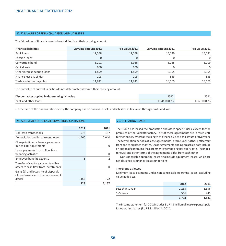# 27. Fair values of financial assets and liabilities

The fair values of financial assets do not differ from their carrying amount.

| <b>Financial liabilities</b> | Carrying amount 2012 | Fair value 2012 | Carrying amount 2011 | Fair value 2011 |
|------------------------------|----------------------|-----------------|----------------------|-----------------|
| Bank loans                   | 12,558               | 12,558          | 15,129               | 15,131          |
| Pension loans                | $\mathbf{0}$         |                 |                      | $\Omega$        |
| Convertible bond             | 5,291                | 5,926           | 6,735                | 6,709           |
| Capital loan                 | 600                  | 600             |                      | $\Omega$        |
| Other interest-bearing loans | 1,899                | 1,899           | 2,155                | 2,155           |
| Finance lease liabilities    | 103                  | 103             | 833                  | 833             |
| Trade and other payables     | 11,841               | 11,841          | 13,109               | 13,109          |

The fair value of current liabilities do not differ materially from their carrying amount.

| Discount rates applied in determining fair value | 2012        | 2011       |
|--------------------------------------------------|-------------|------------|
| Bank and other loans                             | 1.84210.00% | .86-10.00% |

On the date of the financial statements, the company has no financial assets and liabilities at fair value through profit and loss.

# 28. Adjustments to cash flows from operations

|                                                                                             | 2012   | 2011             |
|---------------------------------------------------------------------------------------------|--------|------------------|
| Non-cash transactions                                                                       | $-574$ | 187              |
| Depreciation and impairment losses                                                          | 1,460  | 2,040            |
| Change in finance lease agreements<br>due to IFRS adjustments                               |        | $\left( \right)$ |
| Lease payments in cash flow from<br>financing activities                                    |        | 0                |
| Employee benefits expense                                                                   | $-5$   | $\mathcal{P}$    |
| Transfer of capital gains on tangible<br>assets to cash flow from investments               |        | O                |
| Gains $(\mathbb{Z})$ and losses $(+)$ of disposals<br>of fixed assets and other non-current |        |                  |
| assets                                                                                      | $-153$ | $-72$            |
|                                                                                             | 728    | 2.157            |

# 29. Operating leases

The Group has leased the production and office space it uses, except for the premises of the Vuokatti factory. Part of these agreements are in force until further notice, whereas the length of others is up to a maximum of five years. The termination periods of lease agreements in force until further notice vary from one to eighteen months. Lease agreements ending on a fixed date include an option of continuing the agreement after the original expiry date. The index, renewal and other terms of the agreements differ from each other.

Non-cancellable operating leases also include equipment leases, which are not classified as finance leases under IFRS.

# **The Group as lessee**

Minimum lease payments under non-cancellable operating leases, excluding value added tax

|                  | 2012  | 2011  |
|------------------|-------|-------|
| Less than 1 year | 1,233 | 1,396 |
| 1-5 years        | 566   | 445   |
|                  | 1,798 | 1,841 |

The income statement for 2012 includes EUR 1.8 million of lease expenses paid for operating leases (EUR 1.8 million in 2011).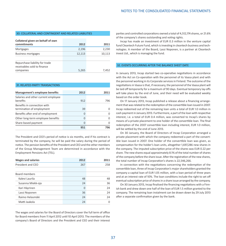# 30. Collateral and contingent and related liabilities

| Collateral given on behalf of own                                          |        |        |
|----------------------------------------------------------------------------|--------|--------|
| commitments                                                                | 2012   | 2011   |
| Mortgages                                                                  | 2,196  | 2,230  |
| <b>Business mortgages</b>                                                  | 12,113 | 10,113 |
| Repurchase liability for trade<br>receivables sold to finance<br>companies | 5.265  | 7.452  |

| Management's employee benefits                           | 2012 | 2011 |
|----------------------------------------------------------|------|------|
| Salaries and other current employee<br>benefits          | 912  | 796  |
| Benefits in connection with<br>termination of employment | 39   |      |
| Benefits after end of employment                         | 0    | O    |
| Other long-term employee benefits                        | 0    | O    |
| Share-based payment                                      | 0    | O    |
|                                                          | 951  | 796  |

The President and CEO's period of notice is six months, and if his contract is terminated by the company, he will be paid the salary during the period of notice. The pension benefits of the President and CEO and the other members of the Group Management Team are determined in accordance with the Employment Pensions Act (TEL).

| <b>Wages and salaries</b> | 2012     | 2011     |
|---------------------------|----------|----------|
| President and CEO         | 267      | 258      |
|                           |          |          |
| Board members             |          |          |
| Kalevi Laurila            | 48       | 48       |
| Susanna Miekk-oja         | 24       | 36       |
| Kari Häyrinen             | $\Omega$ | 24       |
| Lassi Noponen             | 36       | 24       |
| Raimo Helasmäki           | 24       | 24       |
| Matti Jaakola             | 24       | $\Omega$ |

The wages and salaries for the Board of Directors cover the full term of office for Board members from 11 April 2012 until 10 April 2013. The members of the company's Board of Directors and the President and CEO and their interest parties and controlled corporations owned a total of 4,512,174 shares, or 21.6% of the company's shares outstanding and voting rights.

Incap has made an investment of EUR 0.3 million in the venture capital fund Cleantech Future Fund, which is investing in cleantech business and technologies. A member of the Board, Lassi Noponen, is a partner at Cleantech invest Ltd., which is managing the fund.

#### 32. Events occurring after the balance sheet date

In January 2013, Incap started two co-operative negotiations in accordance with the Act on Co-operation with the personnel of its Vaasa plant and with the personnel working in its Corporate services in Finland. The outcome of the negotiations in Vaasa is that, if necessary, the personnel of the Vaasa plant will be laid off temporarily for a maximum of 90 days. Eventual temporary lay-offs will take place by the end of June, and their need will be evaluated weekly based on the order book.

On 17 January 2013, Incap published a release about a financing arrangement that was related to the redemption of the convertible loan issued in 2007. Incap redeemed out of the remaining loan units a total of EUR 1.0 million in cash payment in January 2013. Furthermore, a part of the loan with respective interest, i.e. a total of EUR 0.4 million, was converted to Incap's shares by means of a private placement to one holder of the convertible loan. The final redemption of the 2007 convertible loan including interest, EUR 1.0 million, will be settled by the end of June 2013.

On 30 January, the Board of Directors of Incap Corporation arranged a private placement with which the company redeemed a part of the convertible loan issued in 2007. One holder of the convertible loan was given, as compensation for the holder's loan units, altogether 1,697,286 new shares in the company. The imputed subscription price of the shares was EUR 0.22 per share. The new shares equal approximately 8.1% of the total number of shares of the company before the share issue. After the registration of the new shares, the total number of Incap Corporation's shares is 22,546,266.

In connection with the negotiations concerning the redemption of the convertible loan, three of Incap Corporation's major shareholders granted the company a capital loan of EUR 1.05 million, with a loan period of three years and at an interest rate of 10%. The loan conditions include the right to set off eventual subscription price of shares in a share issue arranged by the company.

On 30 January 2013, Incap finalised the financing negotiations with a Finnish bank and drew down one half of the loan of EUR 1.5 million granted to the company. The remaining loan instalment can be drawn down by 29 July 2013 after a separate confirmation given by the bank.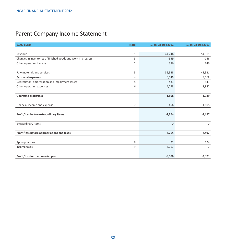# Parent Company Income Statement

| 1,000 euros                                                   | <b>Note</b>    | 1 Jan-31 Dec 2012 | 1 Jan-31 Dec 2011 |
|---------------------------------------------------------------|----------------|-------------------|-------------------|
|                                                               |                |                   |                   |
| Revenue                                                       | $\mathbf{1}$   | 44,746            | 54,311            |
| Changes in inventories of finished goods and work in progress | 3              | $-359$            | $-166$            |
| Other operating income                                        | $\overline{2}$ | 386               | 246               |
|                                                               |                |                   |                   |
| Raw materials and services                                    | 3              | 35,328            | 43,321            |
| Personnel expenses                                            | 4              | 6,549             | 8,068             |
| Depreciaton, amortisation and impairment losses               | 5              | 431               | 549               |
| Other operating expenses                                      | 6              | 4,273             | 3,842             |
|                                                               |                |                   |                   |
| <b>Operating profit/loss</b>                                  |                | $-1,808$          | $-1,389$          |
|                                                               |                |                   |                   |
| Financial income and expenses                                 | 7              | $-456$            | $-1,108$          |
|                                                               |                |                   |                   |
| Profit/loss before extraordinary items                        |                | $-2,264$          | $-2,497$          |
|                                                               |                |                   |                   |
| <b>Extraordinary items</b>                                    |                | $\mathbf{0}$      | $\mathbf 0$       |
|                                                               |                |                   |                   |
| Profit/loss before appropriations and taxes                   |                | $-2,264$          | $-2,497$          |
|                                                               |                |                   |                   |
| Appropriations                                                | 8              | 25                | 124               |
| Income taxes                                                  | 9              | $-3,267$          | $\mathbf 0$       |
|                                                               |                |                   |                   |
| Profit/loss for the financial year                            |                | $-5,506$          | $-2,373$          |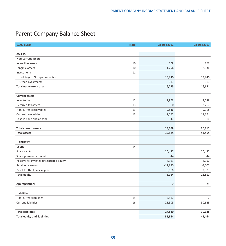# Parent Company Balance Sheet

| 1,000 euros                              | <b>Note</b> | 31 Dec 2012      | 31 Dec 2011 |
|------------------------------------------|-------------|------------------|-------------|
|                                          |             |                  |             |
| <b>ASSETS</b>                            |             |                  |             |
| <b>Non-current assets</b>                |             |                  |             |
| Intangible assets                        | 10          | 208              | 263         |
| Tangible assets                          | 10          | 1,796            | 2,136       |
| Investments                              | 11          |                  |             |
| Holdings in Group companies              |             | 13,940           | 13,940      |
| Other investments                        |             | 311              | 311         |
| <b>Total non-current assets</b>          |             | 16,255           | 16,651      |
| <b>Current assets</b>                    |             |                  |             |
| Inventories                              | 12          | 1,963            | 3,088       |
| Deferred tax assets                      | 13          | $\mathbf{0}$     | 3,267       |
| Non-current receivables                  | 13          | 9,846            | 9,118       |
| Current receivables                      | 13          | 7,772            | 11,324      |
| Cash in hand and at bank                 |             | 47               | 16          |
| <b>Total current assets</b>              |             | 19,628           | 26,813      |
| <b>Total assets</b>                      |             | 35,884           | 43,464      |
|                                          |             |                  |             |
| <b>LIABILITIES</b>                       |             |                  |             |
| Equity                                   | 14          |                  |             |
| Share capital                            |             | 20,487           | 20,487      |
| Share premium account                    |             | 44               | 44          |
| Reserve for invested unrestricted equity |             | 4,919            | 4,160       |
| Retained earnings                        |             | $-11,880$        | $-9,507$    |
| Profit for the financial year            |             | $-5,506$         | $-2,373$    |
| <b>Total equity</b>                      |             | 8,064            | 12,811      |
| Appropriations                           |             | $\boldsymbol{0}$ | 25          |
|                                          |             |                  |             |
| <b>Liabilities</b>                       |             |                  |             |
| Non-current liabilities                  | 15          | 2,517            | $\mathbf 0$ |
| <b>Current liabilities</b>               | 16          | 25,303           | 30,628      |
| <b>Total liabilities</b>                 |             | 27,820           | 30,628      |
| <b>Total equity and liabilities</b>      |             | 35,884           | 43,464      |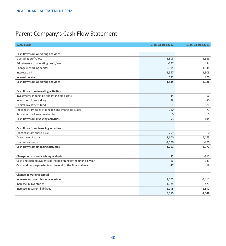# Parent Company's Cash Flow Statement

| 1,000 euros                                                      | 1 Jan-31 Dec 2012 | 1 Jan-31 Dec 2011 |
|------------------------------------------------------------------|-------------------|-------------------|
|                                                                  |                   |                   |
| Cash flow from operating activities                              |                   |                   |
| Operating profit/loss                                            | $-1,808$          | $-1,389$          |
| Adjustments to operating profit/loss                             | $-227$            | 434               |
| Change in working capital                                        | 5,315             | $-1,348$          |
| Interest paid                                                    | $-1,567$          | $-1,309$          |
| Interest received                                                | 132               | 226               |
| Cash flow from operating activities                              | 1,845             | $-3,386$          |
|                                                                  |                   |                   |
| Cash flows from investing activities                             |                   |                   |
| Investments in tangible and intangible assets                    | $-44$             | -66               |
| Investment in subsidiary                                         | $-58$             | $-30$             |
| Capital investment fund                                          | $-61$             | $-80$             |
| Proceeds from sales of tangible and intangible assets            | 110               | 71                |
| Repayments of loan receivables                                   | $\mathbf{0}$      | $\mathbf 0$       |
| Cash flow from investing activities                              | $-53$             | $-105$            |
| Cash flows from financing activities                             |                   |                   |
| Proceeds from share issue                                        | 759               | $\mathbf{0}$      |
| Drawdown of loans                                                | 1,600             | 4,173             |
|                                                                  |                   |                   |
| Loan repayments                                                  | $-4,120$          | $-796$            |
| Cash flow from financing activities                              | $-1,761$          | 3,377             |
| Change in cash and cash equivalents                              | 31                | $-115$            |
| Cash and cash equivalents at the beginning of the financial year | 16                | 131               |
| Cash and cash equivalents at the end of the financial year       | 47                | 16                |
|                                                                  |                   |                   |
| Change in working capital                                        |                   |                   |
| Increase in current trade receivables                            | 2,795             | $-3,413$          |
| Increase in inventories                                          | 1,325             | 473               |
| Increase in current liabilities                                  | 1,195             | 1,592             |
|                                                                  | 5,315             | $-1,348$          |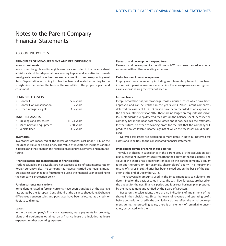# Notes to the Parent Company Financial Statements

# ACCOUNTING POLICIES

# **Principles of measurement and periodisation**

# **Non-current assets**

Non-current tangible and intangible assets are recorded in the balance sheet at historical cost less depreciation according to plan and amortisation. Investment grants received have been entered as a credit to the corresponding asset item. Depreciation according to plan has been calculated according to the straight-line method on the basis of the useful life of the property, plant and equipment.

# **Intangible assets**

|           | Goodwill                        | 5-6 years       |  |
|-----------|---------------------------------|-----------------|--|
|           | Goodwill on consolidation       | 5 years         |  |
|           | Other intangible rights         | 3-5 years       |  |
|           |                                 |                 |  |
|           | <b>TANGIBLE ASSETS</b>          |                 |  |
|           | <b>Buildings and structures</b> | $18 - 24$ years |  |
| $\bullet$ | Machinery and equipment         | 3-10 years      |  |
|           | • Vehicle fleet                 | 3-5 years       |  |

#### **Inventories**

Inventories are measured at the lower of historical cost under FIFO or the repurchase value or selling price. The value of inventories includes variable expenses and their share in the fixed expenses of procurements and manufacturing.

### **Financial assets and management of financial risks**

Trade receivables and payables are not exposed to significant interest rate or foreign currency risks. The company has however carried out hedging measures against exchange rate fluctuations during the financial year according to the company's protection policy.

### **Foreign currency transactions**

Items denominated in foreign currency have been translated at the average rate stated by the European Central Bank at the balance sheet date. Exchange differences between sales and purchases have been allocated as a credit or debit to said items.

### **Leases**

In the parent company's financial statements, lease payments for property, plant and equipment obtained on a finance lease are included as lease expenses in other operating expenses.

#### **Research and development expenditure**

Research and development expenditure in 2012 has been treated as annual expenses within other operating expenses.

# **Periodisation of pension expenses**

Employees' pension security including supplementary benefits has been insured with pension insurance companies. Pension expenses are recognised as an expense during their year of accrual.

### **Income taxes**

Incap Corporation has, for taxation purposes, unused losses which have been approved and can be utilised in the years 2013–2022. Parent company's deferred tax assets of EUR 3.3 million have been recorded as an expense in the financial statements for 2012. There are no longer prerequisites based on IAS 12 standard to keep deferred tax assets in the balance sheet, because the company has in the near past made losses and it has, besides the estimates for the future, no other convincing proof for the fact that the company will produce enough taxable income, against of which the tax losses could be utilised

Deferred tax assets are described in more detail in Note 16, Deferred tax assets and liabilities, to the consolidated financial statements.

# **Impairment testing of shares in subsidiaries**

The value of shares in subsidiaries in the parent group is the acquisition cost plus subsequent investments to strengthen the equity of the subsidiaries. The value of the shares has a significant impact on the parent company's equity ratio and therefore on, for example, shareholders' equity. The impairment testing of shares in subsidiaries has been carried out on the basis of the situation at the end of December 2012.

The recoverable amounts used in the impairment test calculations are determined on the basis of value in use. The cash flow forecasts are based on the budget for the next financial period and four-year business plan prepared by the management and ratified by the Board of Directors.

Based on the calculations, there are no indications of impairment of the shares in the subsidiaries. Since the levels of revenue and operating profit before depreciation used in the calculations do not reflect the actual development during the preceding years, there is an element of remarkable uncertainty associated with them.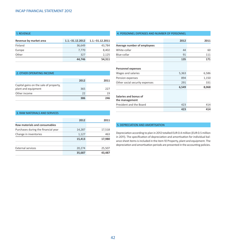# 1. Revenue

| Revenue by market area | $1.1 - 31.12.2012$ | $1.1 - 31.12.2011$ |
|------------------------|--------------------|--------------------|
| Finland                | 36.649             | 43.784             |
| Europe                 | 7.770              | 8.402              |
| Other                  | 327                | 2,125              |
|                        | 44.746             | 54.311             |

# 2. Other operating income

3. Raw materials and services

|                                                               | 2012 | 2011 |
|---------------------------------------------------------------|------|------|
| Capital gains on the sale of property,<br>plant and equipment | 365  | フフフ  |
| Other income                                                  | 22   | 19   |
|                                                               | 386  | 246  |

# 4. Personnel expenses and number of personnel

|                                         | 2012  | 2011  |
|-----------------------------------------|-------|-------|
| Average number of employees             |       |       |
| White-collar                            | 44    | 60    |
| Blue-collar                             | 91    | 111   |
|                                         | 135   | 171   |
| <b>Personnel expenses</b>               |       |       |
| Wages and salaries                      | 5,363 | 6,586 |
| Pension expenses                        | 894   | 1,150 |
| Other social security expenses          | 291   | 331   |
|                                         | 6,549 | 8,068 |
| Salaries and bonus of<br>the management |       |       |
| President and the Board                 | 423   | 414   |
|                                         | 423   | 414   |

|                                     | 2012   | 2011   |
|-------------------------------------|--------|--------|
| Raw materials and consumables       |        |        |
| Purchases during the financial year | 14,287 | 17,518 |
| Change in inventories               | 1,127  | 463    |
|                                     | 15,413 | 17,980 |
|                                     |        |        |
| <b>External services</b>            | 20.274 | 25,507 |
|                                     | 35,687 | 43.487 |

# 5. Depreciation and amortisation

Depreciation according to plan in 2012 totalled EUR 0.4 million (EUR 0.5 million in 2011). The specification of depreciation and amortisation for individual balance sheet items is included in the item 10 Property, plant and equipment. The depreciation and amortisation periods are presented in the accounting policies.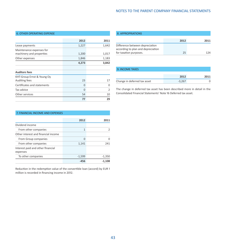# 6. Other operating expense

|                                                      | 2012           | 2011           |
|------------------------------------------------------|----------------|----------------|
| Lease payments                                       | 1,227          | 1,642          |
| Maintenance expenses for<br>machinery and properties | 1,200          | 1,017          |
| Other expenses                                       | 1,846          | 1,183          |
|                                                      | 4,273          | 3,842          |
|                                                      |                |                |
| <b>Auditors fees</b>                                 |                |                |
| KHT-Group Ernst & Young Oy<br>Auditing fees          | 23             | 17             |
| Certificates and statements                          | 0              | $\Omega$       |
| Tax advice                                           | $\overline{0}$ | $\overline{2}$ |
| Other services                                       | 54             | 10             |
|                                                      | 77             | 29             |

# 8. APPROPRIATIONS **2012 2011** Difference between depreciation according to plan and depreciation for taxation purposes. 25 224

| 9. INCOME TAXES              |          |      |
|------------------------------|----------|------|
|                              | 2012     | 2011 |
| Change in deferred tax asset | $-3,267$ |      |

The change in deferred tax asset has been described more in detail in the Consolidated Financial Statements' Note 16 Deferred tax asset.

# 7. Financial income and expenses

|                                               | 2012     | 2011          |
|-----------------------------------------------|----------|---------------|
| Dividend income                               |          |               |
| From other companies                          | 1        | $\mathcal{L}$ |
| Other interest and financial income           |          |               |
| From Group companies                          | 0        | U             |
| From other companies                          | 1,141    | 241           |
| Interest paid and other financial<br>expenses |          |               |
| To other companies                            | $-1,599$ | $-1,350$      |
|                                               | -456     | $-1.108$      |

Reduction in the redemption value of the convertible loan (accord) by EUR 1 million is recorded in financing income in 2012.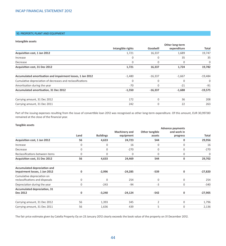# 10. Property, plant and equipment

# **Intangible assets**

| Other long-term   |              |             |           |
|-------------------|--------------|-------------|-----------|
| Intangible rights | Goodwill     | expenditure | Total     |
| 1,721             | 16,337       | 1,689       | 19,747    |
| 0                 | $\mathbf{0}$ | 35          | 35        |
| $\Omega$          | $\mathbf{0}$ | $\mathbf 0$ | $\Omega$  |
| 1,721             | 16,337       | 1,724       | 19,782    |
| $-1,480$          | $-16,337$    | $-1,667$    | $-19,484$ |
| $\Omega$          | $\mathbf{0}$ | $\mathbf 0$ | $\Omega$  |
| $-70$             | $\Omega$     | $-21$       | $-91$     |
| $-1,550$          | $-16,337$    | $-1,688$    | $-19,575$ |
| 172               | $\Omega$     | 36          | 208       |
| 242               | $\mathbf{0}$ | 22          | 263       |
|                   |              |             |           |

Part of the issuing expenses resulting from the issue of convertible loan 2012 was recognised as other long-term expenditure. Of this amount, EUR 30,997.80 remained at the close of the financial year.

**Advance payments** 

# **Tangible assets**

|              |                  | <b>Machinery and</b> | Other tangible | and work in  |                  |
|--------------|------------------|----------------------|----------------|--------------|------------------|
| Land         | <b>Buildings</b> | equipment            | assets         | progress     | <b>Total</b>     |
| 56           | 4,633            | 24,723               | 544            | $\mathbf 0$  | 29,956           |
| $\mathbf 0$  | 0                | 16                   | $\mathbf{0}$   | $\mathbf 0$  | 16               |
| $\mathbf{0}$ | 0                | $-270$               | $\mathbf{0}$   | $\mathbf{0}$ | $-270$           |
| $\Omega$     | 0                | $\Omega$             | 0              | $\mathbf 0$  | $\mathbf 0$      |
| 56           | 4,633            | 24,469               | 544            | $\mathbf 0$  | 29,702           |
| 0            | $-2,996$         | $-24,285$            | $-539$         | $\mathbf 0$  | $-27,820$        |
| $\mathbf{0}$ | 0                | 254                  | $\mathbf{0}$   | 0            | 254              |
| $\Omega$     | $-243$           | -94                  | $-3$           | $\mathbf{0}$ | $-340$           |
|              |                  |                      |                |              |                  |
| 0            | $-3,240$         | $-24,124$            | $-542$         | 0            | $-27,905$        |
| 56           | 1,393            | 345                  | $\overline{2}$ | $\mathbf{0}$ | 1,796            |
| 56           | 1,636            | 439                  | 5              | $\mathbf 0$  | 2,136            |
|              |                  |                      |                |              | Advance payments |

The fair price estimate given by Catella Property Oy on 23 January 2012 clearly exceeds the book value of the property on 31 December 2012.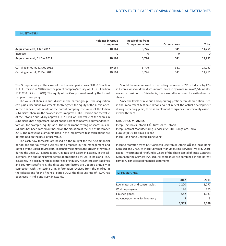### 11. Investments

| 311<br>3,776 |                         |
|--------------|-------------------------|
|              | 14,251                  |
| $\Omega$     | $\Omega$                |
| 311          | 14,251                  |
| 311          | 14,251                  |
| 311          | 14,251                  |
|              | 3,776<br>3,776<br>3,776 |

The Group's equity at the close of the financial period was EUR -3.0 million (EUR 1.3 million in 2011) while the parent company's equity was EUR 8.1 million (EUR 12.8 million in 2011). The equity of the Group is weakened by the loss of the parent company.

The value of shares in subsidiaries in the parent group is the acquisition cost plus subsequent investments to strengthen the equity of the subsidiaries. In the financial statements of the parent company, the value of the Indian subsidiary's shares in the balance sheet is approx. EUR 8.8 million and the value of the Estonian subsidiary approx. EUR 5.1 million. The value of the shares in subsidiaries has a significant impact on the parent company's equity and therefore on, for example, equity ratio. The impairment testing of shares in subsidiaries has been carried out based on the situation at the end of December 2012. The recoverable amounts used in the impairment test calculations are determined on the basis of use value.

The cash flow forecasts are based on the budget for the next financial period and the four-year business plan prepared by the management and ratified by the Board of Directors. In cash flow estimates, the growth of revenue during the years 201322016 is 829% in India and 5215% in Estonia. In the calculations, the operating profit before depreciation is 9<sup>21</sup>2% in India and 1<sup>25%</sup> in Estonia. The discount rate is comprised of industry risk, interest on liabilities and country-specific risk. The discount rate factors are updated annually in connection with the testing using information received from the market. In the calculations for the financial period 2012, the discount rate of 16.0% has been used in India and 11.5% in Estonia.

Should the revenue used in the testing decrease by 7% in India or by 13% in Estonia, or should the discount rate increase by a maximum of 1,5% in Estonia and a maximum of 3% in India, there would be no need for write-down of shares.

Since the levels of revenue and operating profit before depreciation used in the impairment test calculations do not reflect the actual development during preceding years, there is an element of significant uncertainty associated with them.

#### **Group companies**

Incap Electronics Estonia OÜ, Kuressaare, Estonia Incap Contract Manufacturing Services Pvt. Ltd., Bangalore, India Euro-ketju Oy, Helsinki, Finland Incap Hong Kong Limited, Hong Kong

Incap Corporation owns 100% of Incap Electronics Estonia OÜ and Incap Hong Kong Ltd and 77,5% of Incap Contract Manufacturing Services Pvt. Ltd. Share capital investment of Finnfund is 22,5% of the share capital of Incap Contract Manufacturing Services Pvt. Ltd. All companies are combined in the parent company consolidated financial statements.

### 12. Inventories

| 3,088 |
|-------|
|       |
| 1.033 |
| 275   |
| 1,777 |
| 2011  |
|       |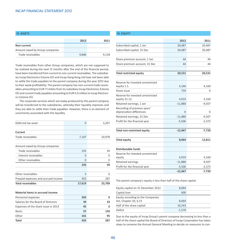| 13. ASSETS                     |       |       |
|--------------------------------|-------|-------|
|                                | 2012  | 2011  |
| Non-current                    |       |       |
| Amount owed by Group companies |       |       |
| Trade receivables              | 9.846 | 9.118 |

Trade receivables from other Group companies, which are not supposed to be realised during the next 12 months after the end of the financial period, have been transferred from current to non-current receivables. The subsidiaries Incap Electronics Estonia OÜ and Incap Hong Kong Ltd have not been able to settle the trade payables to the parent company during the year 2012 due to their weak profitability. The parent company has non-current trade receivables amounting to EUR 7.1 milion from its subsidiary Incap Electronics Estonia OÜ and current trade payables amounting to EUR 5.0 million to Incap Electronics Estonia OÜ.

The corporate services which are today produced by the parent company will be transferred to the subsidiaries, whereby their liquidity improves and they are able to settle their trade payables. However, there is an element of uncertainty associated with the liquidity.

| Deferred tax asset                      | $\Omega$ | 3,267    |
|-----------------------------------------|----------|----------|
|                                         |          |          |
| Current                                 |          |          |
| Trade receivables                       | 7,107    | 10,978   |
|                                         |          |          |
| Amount owed by Group companies          |          |          |
| Trade receivables                       | 235      | 59       |
| Interest receivables                    | $\Omega$ | $\Omega$ |
| Other receivables                       | $\Omega$ | $\Omega$ |
|                                         | 235      | 59       |
|                                         |          |          |
| Other receivables                       | 5        | $\Omega$ |
| Prepaid expenses and accrued income     | 425      | 287      |
| <b>Total receivables</b>                | 17,619   | 23,709   |
| <b>Material items in accrued income</b> |          |          |
| Personnel expenses                      | 203      | 0        |
| Salaries for the Board of Directors     | 39       | 33       |
| Expenses of the share issue in 2013     | 45       | $\Omega$ |
| Rents                                   | 37       | 159      |
| Other                                   | 101      | 95       |
| <b>Total</b>                            | 425      | 287      |

# 14. Equity

|                                                          | 2012      | 2011     |
|----------------------------------------------------------|-----------|----------|
| Subscribed capital, 1 Jan                                | 20,487    | 20,487   |
| Subscribed capital, 31 Dec                               | 20,487    | 20,487   |
|                                                          |           |          |
| Share premium account, 1 Jan                             | 44        | 44       |
| Share premium account, 31 Dec                            | 44        | 44       |
| <b>Total restricted equity</b>                           | 20,531    | 20,531   |
|                                                          |           |          |
| Reserve for invested unrestricted<br>equity 1.1.         | 4,160     | 4,160    |
| Share issue                                              | 759       | 0        |
| Reserve for invested unrestricted<br>equity 31.12.       | 4,919     | 4,160    |
| Retained earnings, 1 Jan                                 | $-11,880$ | $-9,507$ |
| Recording of previous years'<br>depreciation differences | $\Omega$  | $\Omega$ |
| Retained earnings, 31 Dec                                | $-11,880$ | $-9,507$ |
| Profit for the financial year                            | $-5,506$  | $-2,373$ |
| <b>Total non-restricted equity</b>                       | $-12,467$ | $-7,720$ |
| <b>Total equity</b>                                      | 8,064     | 12,811   |
| <b>Distributable funds</b>                               |           |          |
| Reserve for invested unrestricted<br>equity              | 4,919     | 4,160    |
| Retained earnings                                        | $-11,880$ | $-9,507$ |
| Profit for the financial year                            | $-5,506$  | $-2,373$ |
|                                                          | $-12,467$ | $-7,720$ |

The parent company's equity is less than half of the share capital.

| Equity capital on 31 December 2012                         | 8.064    |  |
|------------------------------------------------------------|----------|--|
| Capital Ioan                                               | 600      |  |
| Equity according to the Companies<br>Act, Chapter 20, § 23 | 8.664    |  |
| Half of the share capital                                  | 10.243   |  |
| Deficit                                                    | $-1.579$ |  |

Due to the equity of Incap Group's parent company decreasing to less than a half of the share capital the Board of Directors of Incap Corporation has taken steps to convene the Annual General Meeting to decide on measures to con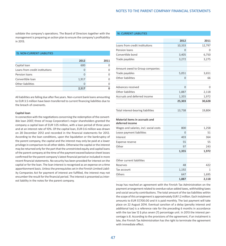solidate the company's operations. The Board of Directors together with the management is preparing an action plan to ensure the company's profitability in 2013.

#### 15. Non-current liabilities

|                                | 2012             | 2011             |
|--------------------------------|------------------|------------------|
| Capital loan                   | 600              |                  |
| Loans from credit institutions | 0                |                  |
| Pension loans                  | 0                |                  |
| Convertible loan               | 1,917            | $\left( \right)$ |
| Other liabilities              | $\left( \right)$ | $\left( \right)$ |
|                                | 2,517            |                  |

All liabilities are falling due after five years. Non-current bank loans amounting to EUR 3.5 million have been transferred to current financing liabilities due to the breach of covenants.

#### **Capital loan**

In connection with the negotiations concerning the redemption of the convertible loan 2007, three of Incap Corporation's major shareholders granted the company a capital loan of EUR 1.05 million, with a loan period of three years and at an interest rate of 10%. Of the capital loan, EUR 0.6 million was drawn on 28 December 2012 and recorded in the financial statements for 2012. According to the loan conditions, upon the liquidation or the bankruptcy of the parent company, the capital and the interest may only be paid at a lower privilege in comparison to all other debts. Otherwise the capital or the interest may be returned only for the part that the unrestricted equity and capital loans of the parent company at the time of the payment exceed balance sheet losses confirmed for the parent company's latest financial period or included in more recent financial statements. No security has been provided for interest on the capital or for the loan. The loan interest is recognised as an expense on a time apportionment basis. Unless the prerequisites set in the Finnish Limited Liability Companies Act for payment of interest are fulfilled, the interest may not encumber the result for the financial period. The interest is presented as interest liability in the notes for the parent company.

#### 16. Current liabilities

|                                                   | 2012           | 2011   |
|---------------------------------------------------|----------------|--------|
| Loans from credit institutions                    | 10,333         | 12,797 |
| Pension loans                                     | $\overline{0}$ | 0      |
| Convertible bond                                  | 3,405          | 6,750  |
| Trade payables                                    | 3,272          | 3,275  |
| Amount owed to Group companies:                   |                |        |
| Trade payables                                    | 5,051          | 3,651  |
| <b>Other liabilities</b>                          | 0              | 66     |
| Advances received                                 | $\Omega$       | 0      |
| <b>Other liabilities</b>                          | 1,887          | 2,118  |
| Accruals and deferred income                      | 1,355          | 1,972  |
|                                                   | 25,303         | 30,628 |
| Total interest-bearing liabilities                | 13,738         | 19,804 |
| Material items in accruals and<br>deferred income |                |        |
| Wages and salaries, incl. social costs            | 800            | 1,258  |
| Lease payment liabilities                         | $\Omega$       | 51     |
| Interest                                          | 403            | 364    |
| Expense reserve                                   | 55             | 55     |
| Other                                             | 97             | 243    |
|                                                   | 1,355          | 1,972  |
| Other current liabilities                         |                |        |
| Reserves                                          | 48             | 422    |
| Tax account                                       | 1,192          | 1      |
| Others                                            | 647            | 1,695  |
|                                                   | 1,887          | 2,118  |

Incap has reached an agreement with the Finnish Tax Administration on the payment arrangement related to overdue value-added taxes, withholding taxes and social security contributions. The total amount of the tax liabilities within the scope of this arrangement is approximately EUR 1.2 million. Each instalment amounts to EUR 57,700.00 and it is paid monthly. The last payment will take place on 22 August 2014. Eventual sanction of a delay (penalty interest and additional tax) is a reference rate for the preceding 6 months in accordance with the tax law 12 § plus seven (7) percentage unit. In 2013 the interest percentage is 8. According to the provisions of the agreement, if an instalment is late, the Finnish Tax Administration has the right to terminate the agreement with immediate effect.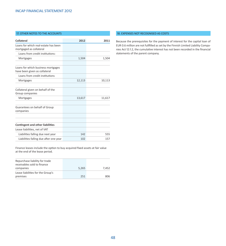# 17. OTHER NOTES TO THE ACCOUNTS

| Collateral                                                          | 2012   | 2011   |
|---------------------------------------------------------------------|--------|--------|
| Loans for which real-estate has been<br>mortgaged as collateral     |        |        |
| Loans from credit institutions:                                     |        |        |
| <b>Mortgages</b>                                                    | 1,504  | 1,504  |
| Loans for which business mortgages<br>have been given as collateral |        |        |
| Loans from credit institutions                                      |        |        |
| <b>Mortgages</b>                                                    | 12,113 | 10,113 |
| Collateral given on behalf of the<br>Group companies                |        |        |
| <b>Mortgages</b>                                                    | 13,617 | 11,617 |
| Guarantees on behalf of Group<br>companies                          |        |        |
|                                                                     |        |        |
| <b>Contingent and other liabilities</b>                             |        |        |
| Lease liabilities, net of VAT                                       |        |        |
| Liabilities falling due next year                                   | 142    | 555    |
| Liabilities falling due after one year                              | 102    | 157    |

Finance leases include the option to buy acquired fixed assets at fair value at the end of the lease period.

| Repurchase liability for trade<br>receivables sold to finance<br>companies | 5.265 | 7.452 |
|----------------------------------------------------------------------------|-------|-------|
| Lease liabilities for the Group's<br>premises                              | 251   | 806   |

# 18. Expenses not recognised as costs

Because the prerequisites for the payment of interest for the capital loan of EUR 0.6 million are not fullfilled as set by the Finnish Limited Liability Companies Act 12:1.2, the cumulative interest has not been recorded in the financial statements of the parent company.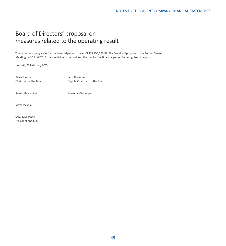# Board of Directors' proposal on measures related to the operating result

The parent company's loss for the financial period totalled EUR 5,505,693.92. The Board will propose to the Annual General Meeting on 10 April 2013 that no dividend be paid and the loss for the financial period be recognised in equity.

Helsinki, 25 February 2013

Kalevi Laurila **Lassi Noponen** 

Chairman of the Board Deputy Chairman of the Board

Raimo Helasmäki Susanna Miekk-oja

Matti Jaakola

Sami Mykkänen President and CEO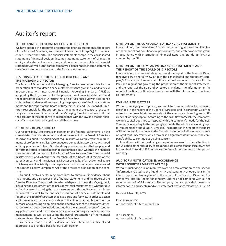# Auditor's report

#### To the Annual General Meeting of Incap Oyj

We have audited the accounting records, the financial statements, the report of the Board of Directors, and the administration of Incap Oyj for the year ended 31 December, 2012. The financial statements comprise the consolidated statement of financial position, income statement, statement of changes in equity and statement of cash flows, and notes to the consolidated financial statements, as well as the parent company's balance sheet, income statement, cash flow statement and notes to the financial statements.

# **Responsibility of the Board of Directors and the Managing Director**

The Board of Directors and the Managing Director are responsible for the preparation of consolidated financial statements that give a true and fair view in accordance with International Financial Reporting Standards (IFRS) as adopted by the EU, as well as for the preparation of financial statements and the report of the Board of Directors that give a true and fair view in accordance with the laws and regulations governing the preparation of the financial statements and the report of the Board of Directors in Finland. The Board of Directors is responsible for the appropriate arrangement of the control of the company's accounts and finances, and the Managing Director shall see to it that the accounts of the company are in compliance with the law and that its financial affairs have been arranged in a reliable manner.

### **Auditor's Responsibility**

Our responsibility is to express an opinion on the financial statements, on the consolidated financial statements and on the report of the Board of Directors based on our audit. The Auditing Act requires that we comply with the requirements of professional ethics. We conducted our audit in accordance with good auditing practice in Finland. Good auditing practice requires that we plan and perform the audit to obtain reasonable assurance about whether the financial statements and the report of the Board of Directors are free from material misstatement, and whether the members of the Board of Directors of the parent company and the Managing Director are guilty of an act or negligence which may result in liability in damages towards the company or have violated the Limited Liability Companies Act or the articles of association of the company.

An audit involves performing procedures to obtain audit evidence about the amounts and disclosures in the financial statements and the report of the Board of Directors. The procedures selected depend on the auditor's judgment, including the assessment of the risks of material misstatement, whether due to fraud or error. In making those risk assessments, the auditor considers internal control relevant to the entity's preparation of financial statements and report of the Board of Directors that give a true and fair view in order to design audit procedures that are appropriate in the circumstances, but not for the purpose of expressing an opinion on the effectiveness of the company's internal control. An audit also includes evaluating the appropriateness of accounting policies used and the reasonableness of accounting estimates made by management, as well as evaluating the overall presentation of the financial statements and the report of the Board of Directors.

We believe that the audit evidence we have obtained is sufficient and appropriate to provide a basis for our audit opinion.

# **Opinion on the consolidated financial statements**

In our opinion, the consolidated financial statements give a true and fair view of the financial position, financial performance, and cash flows of the group in accordance with International Financial Reporting Standards (IFRS) as adopted by the EU.

# **Opinion on the company's financial statements and the report of the Board of Directors**

In our opinion, the financial statements and the report of the Board of Directors give a true and fair view of both the consolidated and the parent company's financial performance and financial position in accordance with the laws and regulations governing the preparation of the financial statements and the report of the Board of Directors in Finland. The information in the report of the Board of Directors is consistent with the information in the financial statements.

#### **Emphasis of matters**

Without qualifying our opinion, we want to draw attention to the issues described in the report of the Board of Directors and in paragraph 26 of the notes to the financial statements about the company's financing and sufficiency of working capital. According to the cash flow forecast, the company's working capital does not correspond with the company's needs for the next 12 months. According to the company's estimate the additional working capital requirement is about EUR 4-6 million. The matters in the report of the Board of Directors and in the notes to the financial statements indicate the existence of significant uncertainty which may cast a significant doubt about the company's ability to continue as a going concern.

In addition, without qualifying our opinion, we want to draw attention to the valuation of the subsidiary shares and related significant uncertainty, which is described in section 11 in notes to the financial statements of the parent company.

# **Auditor's notification in accordance with Securities Market Act 7:8 §**

Without qualifying our opinion, we want to draw attention to the section "Information related to the liquidity risk and continuity of operations in the interim report for January-June" in the report of the Board of Directors. The company's Interim Report for January-June has not complied with all the requirements of IAS 34 standard. The company has later provided the missing information in a prospectus and a separate stock exchange release on 14.9.2012.

Helsinki, March 18, 2013

Ernst & Young Oy Authorized Public Accountant Firm

Jari Karppinen Authorized Public Accountant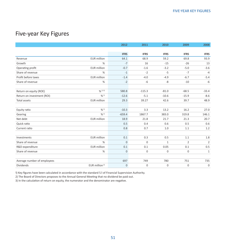# Five-year Key Figures

|                             |                              | 2012           | 2011           | 2010         | 2009             | 2008             |
|-----------------------------|------------------------------|----------------|----------------|--------------|------------------|------------------|
|                             |                              |                |                |              |                  |                  |
|                             |                              | <b>IFRS</b>    | <b>IFRS</b>    | <b>IFRS</b>  | <b>IFRS</b>      | <b>IFRS</b>      |
| Revenue                     | <b>EUR</b> million           | 64.1           | 68.9           | 59.2         | 69.8             | 93.9             |
| Growth                      | %                            | $-7$           | 16             | $-15$        | $-26$            | 13               |
| Operating profit            | <b>EUR</b> million           | $-0.7$         | $-1.6$         | $-3.2$       | $-5.0$           | $-3.6$           |
| Share of revenue            | %                            | $-1$           | $-2$           | $-5$         | $-7$             | $-4$             |
| Profit before taxes         | <b>EUR</b> million           | $-1.4$         | $-4.0$         | $-4.9$       | $-6.7$           | $-5.4$           |
| Share of revenue            | %                            | $-2$           | $-6$           | -8           | $-10$            | $-6$             |
| Return on equity (ROE)      | $9/2$ 1) 3)                  | 580.8          | $-115.3$       | $-81.0$      | $-68.5$          | $-33.4$          |
| Return on investment (ROI)  | $\frac{9}{2}$ <sup>1)</sup>  | $-12.6$        | $-5.1$         | $-10.6$      | $-15.9$          | $-8.6$           |
| <b>Total assets</b>         | <b>EUR</b> million           | 29.3           | 39.27          | 42.6         | 39.7             | 48.9             |
| Equity ratio                | $\frac{9}{20}$ <sup>1)</sup> | $-10.3$        | 3.3            | 13.2         | 16.2             | 27.0             |
| Gearing                     | 9/21                         | $-659.4$       | 1867.7         | 383.0        | 319.8            | 146.1            |
| Net debt                    | <b>EUR</b> million           | 18.9           | 21.8           | 21.7         | 21.3             | 20.7             |
| Quick ratio                 |                              | 0.5            | 0.4            | 0.6          | 0.5              | 0.6              |
| Current ratio               |                              | 0.8            | 0.7            | 1.0          | 1.1              | $1.2\,$          |
| Investments                 | <b>EUR</b> million           | 0.1            | 0.3            | 0.5          | 1.1              | 1.8              |
| Share of revenue            | %                            | $\overline{0}$ | $\overline{0}$ | $\mathbf{1}$ | $\overline{2}$   | $\overline{2}$   |
| R&D expenditure             | <b>EUR</b> million           | 0.1            | 0.1            | 0.05         | 0.1              | 0.5              |
| Share of revenue            | $\%$                         | $\mathbf{0}$   | $\mathbf{0}$   | 0            | $\mathbf 0$      | $\mathbf{1}$     |
| Average number of employees |                              | 697            | 749            | 780          | 751              | 735              |
| <b>Dividends</b>            | EUR million <sup>2)</sup>    | $\mathbf 0$    | $\mathbf{0}$   | $\mathbf 0$  | $\boldsymbol{0}$ | $\boldsymbol{0}$ |

1) Key figures have been calculated in accordance with the standard 5.1 of Financial Supervision Authority.

2) The Board of Directors proposes to the Annual General Meeting that no dividend be paid out.

3) In the calculation of return on equity, the numerator and the denominator are negative.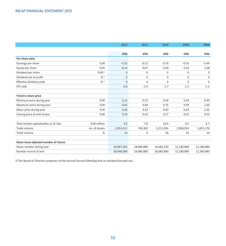|                                       |                             | 2012           | 2011         | 2010         | 2009        | 2008         |
|---------------------------------------|-----------------------------|----------------|--------------|--------------|-------------|--------------|
|                                       |                             |                |              |              |             |              |
|                                       |                             | <b>IFRS</b>    | <b>IFRS</b>  | <b>IFRS</b>  | <b>IFRS</b> | <b>IFRS</b>  |
| Per-share data                        |                             |                |              |              |             |              |
| Earnings per share                    | <b>EUR</b>                  | $-0.25$        | $-0.21$      | $-0.33$      | $-0.55$     | $-0.44$      |
| Equity per share                      | <b>EUR</b>                  | $-0.14$        | 0.07         | 0.30         | 0.53        | 1.08         |
| Dividend per share                    | EUR <sup>1</sup>            | $\mathbf 0$    | $\mathbf{0}$ | $\mathbf{0}$ | 0           | $\mathbf 0$  |
| Dividend out of profit                | $\frac{9}{2}$ <sup>1)</sup> | $\mathbf{0}$   | $\mathbf 0$  | $\mathbf{0}$ | 0           | $\mathbf{0}$ |
| Effective dividend yield              | $\frac{9}{2}$ <sup>1)</sup> | $\overline{0}$ | $\mathbf{0}$ | $\mathbf 0$  | 0           | $\Omega$     |
| P/E ratio                             |                             | $-0.8$         | $-2.0$       | $-1.7$       | $-1.2$      | $-1.2$       |
|                                       |                             |                |              |              |             |              |
| Trend in share price                  |                             |                |              |              |             |              |
| Minimum price during year             | <b>EUR</b>                  | 0.15           | 0.37         | 0.49         | 0.43        | 0.49         |
| Maximum price during year             | <b>EUR</b>                  | 0.65           | 0.64         | 0.75         | 0.99        | 1.60         |
| Mean price during year                | <b>EUR</b>                  | 0.30           | 0.52         | 0.63         | 0.63        | 1.02         |
| Closing price at end of year          | <b>EUR</b>                  | 0.19           | 0.42         | 0.57         | 0.67        | 0.55         |
|                                       |                             |                |              |              |             |              |
| Total market capitalisation at 31 Dec | <b>EUR</b> million          | 4.0            | 7.8          | 10.6         | 8.2         | 6.7          |
| Trade volume                          | no. of shares               | 2,952,411      | 746,382      | 5,211,956    | 2,986,054   | 1,651,176    |
| Trade volume                          | %                           | 14             | 4            | 39           | 25          | 14           |
|                                       |                             |                |              |              |             |              |
| Share issue-adjusted number of shares |                             |                |              |              |             |              |
| Mean number during year               |                             | 20,067,042     | 18,680,880   | 14,682,250   | 12,180,880  | 12,180,880   |
| Number at end of year                 |                             | 20,848,980     | 18,680,880   | 18,680,880   | 12,180,880  | 12,180,880   |

1) The Board of Directors proposes to the Annual General Meeting that no dividend be paid out.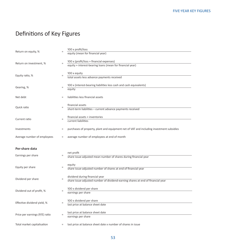# Definitions of Key Figures

| Return on equity, %            | 100 x profit/loss<br>$\equiv$<br>equity (mean for financial year)                                                             |  |
|--------------------------------|-------------------------------------------------------------------------------------------------------------------------------|--|
| Return on investment, %        | 100 x (profit/loss + financial expenses)<br>equity + interest-bearing loans (mean for financial year)                         |  |
| Equity ratio, %                | 100 x equity<br>$\equiv$<br>total assets less advance payments received                                                       |  |
| Gearing, %                     | 100 x (interest-bearing liabilities less cash and cash equivalents)<br>equity                                                 |  |
| Net debt                       | liabilities less financial assets<br>$=$                                                                                      |  |
| Quick ratio                    | financial assets<br>$\equiv$<br>short-term liabilities - current advance payments received                                    |  |
| Current ratio                  | financial assets + inventories<br>$=$<br>current liabilities                                                                  |  |
| Investments                    | purchases of property, plant and equipment net of VAT and including investment subsidies<br>$\equiv$                          |  |
| Average number of employees    | average number of employees at end of month<br>$\equiv$                                                                       |  |
| Per-share data                 |                                                                                                                               |  |
| Earnings per share             | net profit<br>share issue-adjusted mean number of shares during financial year                                                |  |
| Equity per share               | equity<br>$\equiv$<br>share issue-adjusted number of shares at end of financial year                                          |  |
| Dividend per share             | dividend during financial year<br>$\equiv$<br>share issue-adjusted number of dividend-earning shares at end of financial year |  |
| Dividend out of profit, %      | 100 x dividend per share<br>earnings per share                                                                                |  |
| Effective dividend yield, %    | 100 x dividend per share<br>$\equiv$<br>last price at balance sheet date                                                      |  |
| Price per earnings (P/E) ratio | last price at balance sheet date<br>earnings per share                                                                        |  |
| Total market capitalisation    | last price at balance sheet date x number of shares in issue<br>$=$                                                           |  |